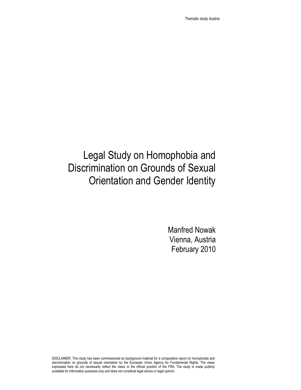Thematic study Austria

# Legal Study on Homophobia and Discrimination on Grounds of Sexual Orientation and Gender Identity

Manfred Nowak Vienna, Austria February 2010

DISCLAIMER: This study has been commissioned as background material for a comparative report on homophobia and discrimination on grounds of sexual orientation by the European Union Agency for Fundamental Rights. The views expressed here do not necessarily reflect the views or the official position of the FRA. The study is made publicly available for information purposes only and does not constitute legal advice or legal opinion.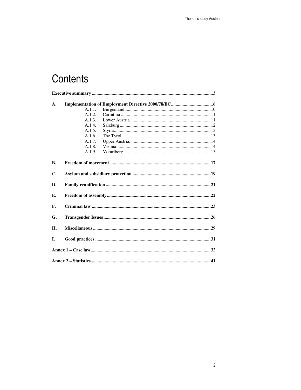# Contents

| A.        |        |  |  |
|-----------|--------|--|--|
|           | A.1.1. |  |  |
|           | A.1.2. |  |  |
|           | A.1.3. |  |  |
|           | A.1.4. |  |  |
|           | A.1.5. |  |  |
|           | A.1.6. |  |  |
|           | A.1.7. |  |  |
|           | A.1.8. |  |  |
|           | A.1.9. |  |  |
| <b>B.</b> |        |  |  |
|           |        |  |  |
| C.        |        |  |  |
| D.        |        |  |  |
| Е.        |        |  |  |
| F.        |        |  |  |
| G.        |        |  |  |
| Н.        |        |  |  |
| L.        |        |  |  |
|           |        |  |  |
|           |        |  |  |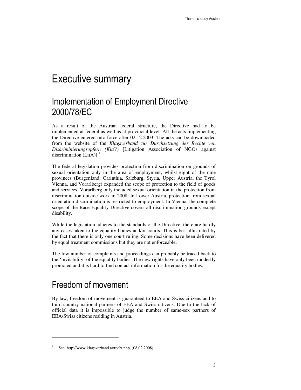## Executive summary

## Implementation of Employment Directive 2000/78/EC

As a result of the Austrian federal structure, the Directive had to be implemented at federal as well as at provincial level. All the acts implementing the Directive entered into force after 02.12.2003. The acts can be downloaded from the website of the *Klagsverband zur Durchsetzung der Rechte von Diskriminierungsopfern (KlaV)* [Litigation Association of NGOs against discrimination  $(LitA)$ ].<sup>1</sup>

The federal legislation provides protection from discrimination on grounds of sexual orientation only in the area of employment, whilst eight of the nine provinces (Burgenland, Carinthia, Salzburg, Styria, Upper Austria, the Tyrol Vienna, and Vorarlberg) expanded the scope of protection to the field of goods and services. Vorarlberg only included sexual orientation in the protection from discrimination outside work in 2008. In Lower Austria, protection from sexual orientation discrimination is restricted to employment. In Vienna, the complete scope of the Race Equality Directive covers all discrimination grounds except disability.

While the legislation adheres to the standards of the Directive, there are hardly any cases taken to the equality bodies and/or courts. This is best illustrated by the fact that there is only one court ruling. Some decisions have been delivered by equal treatment commissions but they are not enforceable.

The low number of complaints and proceedings can probably be traced back to the 'invisibility' of the equality bodies. The new rights have only been modestly promoted and it is hard to find contact information for the equality bodies.

## Freedom of movement

 $\overline{a}$ 

By law, freedom of movement is guaranteed to EEA and Swiss citizens and to third-country national partners of EEA and Swiss citizens. Due to the lack of official data it is impossible to judge the number of same-sex partners of EEA/Swiss citizens residing in Austria.

<sup>&</sup>lt;sup>1</sup> See: http://www.klagsverband.at/recht.php, (08.02.2008).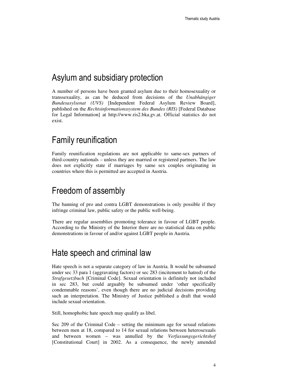### Asylum and subsidiary protection

A number of persons have been granted asylum due to their homosexuality or transsexuality, as can be deduced from decisions of the *Unabhängiger Bundesasylsenat (UVS)* [Independent Federal Asylum Review Board], published on the *Rechtsinformationssystem des Bundes (RIS)* [Federal Database for Legal Information] at http://www.ris2.bka.gv.at. Official statistics do not exist.

### Family reunification

Family reunification regulations are not applicable to same-sex partners of third-country nationals – unless they are married or registered partners. The law does not explicitly state if marriages by same sex couples originating in countries where this is permitted are accepted in Austria.

## Freedom of assembly

The banning of pro and contra LGBT demonstrations is only possible if they infringe criminal law, public safety or the public well-being.

There are regular assemblies promoting tolerance in favour of LGBT people. According to the Ministry of the Interior there are no statistical data on public demonstrations in favour of and/or against LGBT people in Austria.

### Hate speech and criminal law

Hate speech is not a separate category of law in Austria. It would be subsumed under sec 33 para 1 (aggravating factors) or sec 283 (incitement to hatred) of the *Strafgesetzbuch* [Criminal Code]. Sexual orientation is definitely not included in sec 283, but could arguably be subsumed under 'other specifically condemnable reasons', even though there are no judicial decisions providing such an interpretation. The Ministry of Justice published a draft that would include sexual orientation.

Still, homophobic hate speech may qualify as libel.

Sec 209 of the Criminal Code – setting the minimum age for sexual relations between men at 18, compared to 14 for sexual relations between heterosexuals and between women – was annulled by the *Verfassungsgerichtshof* [Constitutional Court] in 2002. As a consequence, the newly amended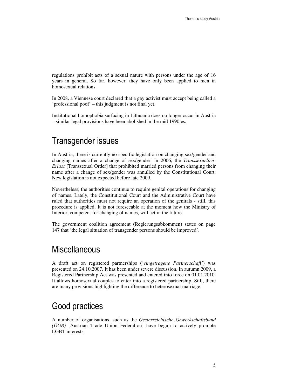regulations prohibit acts of a sexual nature with persons under the age of 16 years in general. So far, however, they have only been applied to men in homosexual relations.

In 2008, a Viennese court declared that a gay activist must accept being called a 'professional poof' – this judgment is not final yet.

Institutional homophobia surfacing in Lithuania does no longer occur in Austria – similar legal provisions have been abolished in the mid 1990ies.

### Transgender issues

In Austria, there is currently no specific legislation on changing sex/gender and changing names after a change of sex/gender. In 2006, the *Transsexuellen-Erlass* [Transsexual Order] that prohibited married persons from changing their name after a change of sex/gender was annulled by the Constitutional Court. New legislation is not expected before late 2009.

Nevertheless, the authorities continue to require genital operations for changing of names. Lately, the Constitutional Court and the Administrative Court have ruled that authorities must not require an operation of the genitals - still, this procedure is applied. It is not foreseeable at the moment how the Ministry of Interior, competent for changing of names, will act in the future.

The government coalition agreement (Regierungsabkommen) states on page 147 that 'the legal situation of transgender persons should be improved'.

### **Miscellaneous**

A draft act on registered partnerships ('*eingetragene Partnerschaft'*) was presented on 24.10.2007. It has been under severe discussion. In autumn 2009, a Registered Partnership Act was presented and entered into force on 01.01.2010. It allows homosexual couples to enter into a registered partnership. Still, there are many provisions highlighting the difference to heterosexual marriage.

## Good practices

A number of organisations, such as the *Oesterreichische Gewerkschaftsbund (ÖGB)* [Austrian Trade Union Federation] have begun to actively promote LGBT interests.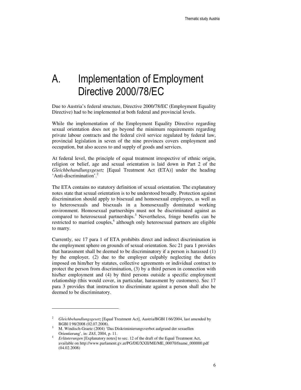# A. Implementation of Employment Directive 2000/78/EC

Due to Austria's federal structure, Directive 2000/78/EC (Employment Equality Directive) had to be implemented at both federal and provincial levels.

While the implementation of the Employment Equality Directive regarding sexual orientation does not go beyond the minimum requirements regarding private labour contracts and the federal civil service regulated by federal law, provincial legislation in seven of the nine provinces covers employment and occupation, but also access to and supply of goods and services.

At federal level, the principle of equal treatment irrespective of ethnic origin, religion or belief, age and sexual orientation is laid down in Part 2 of the *Gleichbehandlungsgesetz* [Equal Treatment Act (ETA)] under the heading 'Anti-discrimination'.<sup>2</sup>

The ETA contains no statutory definition of sexual orientation. The explanatory notes state that sexual orientation is to be understood broadly. Protection against discrimination should apply to bisexual and homosexual employees, as well as to heterosexuals and bisexuals in a homosexually dominated working environment. Homosexual partnerships must not be discriminated against as compared to heterosexual partnerships.<sup>3</sup> Nevertheless, fringe benefits can be restricted to married couples,<sup>4</sup> although only heterosexual partners are eligible to marry.

Currently, sec 17 para 1 of ETA prohibits direct and indirect discrimination in the employment sphere on grounds of sexual orientation. Sec 21 para 1 provides that harassment shall be deemed to be discriminatory if a person is harassed (1) by the employer, (2) due to the employer culpably neglecting the duties imposed on him/her by statutes, collective agreements or individual contract to protect the person from discrimination, (3) by a third person in connection with his/her employment and (4) by third persons outside a specific employment relationship (this would cover, in particular, harassment by customers). Sec 17 para 3 provides that instruction to discriminate against a person shall also be deemed to be discriminatory.

<sup>2</sup> *Gleichbehandlungsgesetz* [Equal Treatment Act], Austria/BGBl I 66/2004, last amended by BGBl I 98/2008 (02.07.2008).

<sup>3</sup> M. Windisch-Graetz (2004) 'Das Diskriminierungsverbot aufgrund der sexuellen Orientierung', in: *ZAS*, 2004, p. 11.

<sup>4</sup> *Erläuterungen* [Explanatory notes] to sec. 12 of the draft of the Equal Treatment Act, available on http://www.parlament.gv.at/PG/DE/XXII/ME/ME\_00070/fname\_000000.pdf (04.02.2008)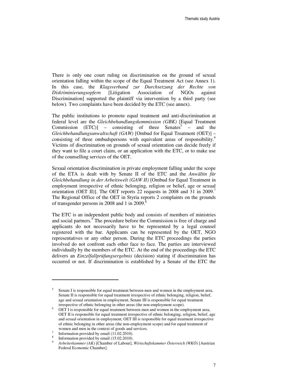There is only one court ruling on discrimination on the ground of sexual orientation falling within the scope of the Equal Treatment Act (see Annex 1). In this case, the *Klagsverband zur Durchsetzung der Rechte von Diskriminierungsopfern* [Litigation Association of NGOs against Discrimination] supported the plaintiff via intervention by a third party (see below). Two complaints have been decided by the ETC (see annex).

The public institutions to promote equal treatment and anti-discrimination at federal level are the *Gleichbehandlungskommission (GBK)* [Equal Treatment Commission  $(ETC)$ ] – consisting of three Senates<sup>5</sup> – and the *Gleichbehandlungsanwaltschaft (GAW)* [Ombud for Equal Treatment (OET)] – consisting of three ombudspersons with equivalent areas of responsibility.<sup>6</sup> Victims of discrimination on grounds of sexual orientation can decide freely if they want to file a court claim, or an application with the ETC, or to make use of the counselling services of the OET.

Sexual orientation discrimination in private employment falling under the scope of the ETA is dealt with by Senate II of the ETC and the *Anwältin für Gleichbehandlung in der Arbeitswelt (GAW II)* [Ombud for Equal Treatment in employment irrespective of ethnic belonging, religion or belief, age or sexual orientation (OET II)]. The OET reports 22 requests in 2008 and 31 in 2009. The Regional Office of the OET in Styria reports 2 complaints on the grounds of transgender persons in 2008 and 1 in 2009.<sup>8</sup>

The ETC is an independent public body and consists of members of ministries and social partners.<sup>9</sup> The procedure before the Commission is free of charge and applicants do not necessarily have to be represented by a legal counsel registered with the bar. Applicants can be represented by the OET, NGO representatives or any other person. During the ETC proceedings the parties involved do not confront each other face to face. The parties are interviewed individually by the members of the ETC. At the end of the proceedings the ETC delivers an *Einzelfallprüfungsergebnis* (decision) stating if discrimination has occurred or not. If discrimination is established by a Senate of the ETC the

<sup>5</sup> Senate I is responsible for equal treatment between men and women in the employment area, Senate II is responsible for equal treatment irrespective of ethnic belonging, religion, belief, age and sexual orientation in employment, Senate III is responsible for equal treatment irrespective of ethnic belonging in other areas (the non-employment scope).

<sup>6</sup> OET I is responsible for equal treatment between men and women in the employment area, OET II is responsible for equal treatment irrespective of ethnic belonging, religion, belief, age and sexual orientation in employment, OET III is responsible for equal treatment irrespective of ethnic belonging in other areas (the non-employment scope) and for equal treatment of women and men in the context of goods and services.

<sup>7</sup> Information provided by email (11.02.2010).

<sup>8</sup> Information provided by email (15.02.2010).

<sup>9</sup> *Arbeiterkammer (AK)* [Chamber of Labour], *Wirtschaftskammer Österreich (WKÖ)* [Austrian Federal Economic Chamber].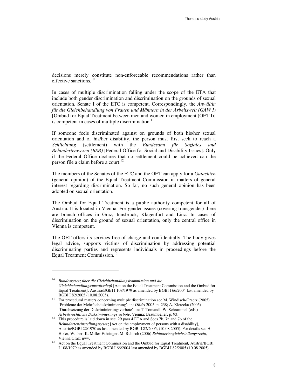decisions merely constitute non-enforceable recommendations rather than effective sanctions.<sup>10</sup>

In cases of multiple discrimination falling under the scope of the ETA that include both gender discrimination and discrimination on the grounds of sexual orientation, Senate I of the ETC is competent. Correspondingly, the *Anwältin für die Gleichbehandlung von Frauen und Männern in der Arbeitswelt (GAW I)*  [Ombud for Equal Treatment between men and women in employment (OET I)] is competent in cases of multiple discrimination. $11$ 

If someone feels discriminated against on grounds of both his/her sexual orientation and of his/her disability, the person must first seek to reach a *Schlichtung* (settlement) with the *Bundesamt für Soziales und Behindertenwesen (BSB)* [Federal Office for Social and Disability Issues]. Only if the Federal Office declares that no settlement could be achieved can the person file a claim before a court.<sup>12</sup>

The members of the Senates of the ETC and the OET can apply for a *Gutachten* (general opinion) of the Equal Treatment Commission in matters of general interest regarding discrimination. So far, no such general opinion has been adopted on sexual orientation.

The Ombud for Equal Treatment is a public authority competent for all of Austria. It is located in Vienna. For gender issues (covering transgender) there are branch offices in Graz, Innsbruck, Klagenfurt and Linz*.* In cases of discrimination on the ground of sexual orientation, only the central office in Vienna is competent.

The OET offers its services free of charge and confidentially. The body gives legal advice, supports victims of discrimination by addressing potential discriminating parties and represents individuals in proceedings before the Equal Treatment Commission.<sup>1</sup>

<sup>10</sup> *Bundesgesetz über die Gleichbehandlungskommission und die Gleichbehandlungsanwaltschaft* [Act on the Equal Treatment Commission and the Ombud for Equal Treatment], Austria/BGBl I 108/1979 as amended by BGBl I 66/2004 last amended by BGBl I 82/2005 (10.08.2005).

<sup>11</sup> For procedural matters concerning multiple discrimination see M. Windisch-Graetz (2005) 'Probleme der Mehrfachdiskriminierung', in: *DRdA* 2005, p. 238; A. Kletecka (2005) 'Durchsetzung der Diskriminierungsverbote', in: T. Tomandl, W. Schrammel (eds.) *Arbeitsrechtliche Diskriminierungsverbote*, Vienna: Braumueller, p. 93.

<sup>&</sup>lt;sup>12</sup> This procedure is laid down in sec. 29 para 4 ETA and Secs 7k, 7n and 7o of the *Behinderteneinstellungsgesetz* [Act on the employment of persons with a disability], Austria/BGBl 22/1970 as last amended by BGBl I 82/2005, (10.08.2005). For details see H. Hofer, W. Iser, K. Miller-Fahringer, M. Rubisch (2006) *Behindertengleichstellungsrecht*, Vienna Graz: nwv.

<sup>13</sup> Act on the Equal Treatment Commission and the Ombud for Equal Treatment*,* Austria/BGBl I 108/1979 as amended by BGBl I 66/2004 last amended by BGBl I 82/2005 (10.08.2005).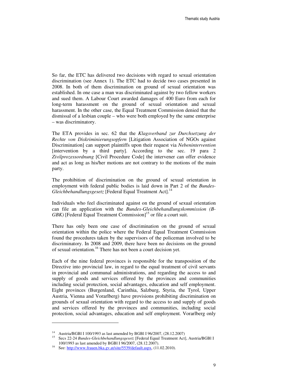So far, the ETC has delivered two decisions with regard to sexual orientation discrimination (see Annex 1). The ETC had to decide two cases presented in 2008. In both of them discrimination on ground of sexual orientation was established. In one case a man was discriminated against by two fellow workers and sued them. A Labour Court awarded damages of 400 Euro from each for long-term harassment on the ground of sexual orientation and sexual harassment. In the other case, the Equal Treatment Commission denied that the dismissal of a lesbian couple – who were both employed by the same enterprise – was discriminatory.

The ETA provides in sec. 62 that the *Klagsverband zur Durchsetzung der Rechte von Diskriminierungsopfern* [Litigation Association of NGOs against Discrimination] can support plaintiffs upon their request via *Nebenintervention*  [intervention by a third party]. According to the sec. 19 para 2 *Zivilprozessordnung* [Civil Procedure Code] the intervener can offer evidence and act as long as his/her motions are not contrary to the motions of the main party.

The prohibition of discrimination on the ground of sexual orientation in employment with federal public bodies is laid down in Part 2 of the *Bundes-Gleichbehandlungsgesetz* [Federal Equal Treatment Act].<sup>14</sup>

Individuals who feel discriminated against on the ground of sexual orientation can file an application with the *Bundes-Gleichbehandlungskommission (B-GBK*) [Federal Equal Treatment Commission<sup>15</sup> or file a court suit.

There has only been one case of discrimination on the ground of sexual orientation within the police where the Federal Equal Treatment Commission found the procedures taken by the supervisors of the policeman involved to be discriminatory. In 2008 and 2009, there have been no decisions on the ground of sexual orientation.<sup>16</sup> There has not been a court decision yet.

Each of the nine federal provinces is responsible for the transposition of the Directive into provincial law, in regard to the equal treatment of civil servants in provincial and communal administrations, and regarding the access to and supply of goods and services offered by the provinces and communities including social protection, social advantages, education and self employment. Eight provinces (Burgenland, Carinthia, Salzburg, Styria, the Tyrol, Upper Austria, Vienna and Vorarlberg) have provisions prohibiting discrimination on grounds of sexual orientation with regard to the access to and supply of goods and services offered by the provinces and communities, including social protection, social advantages, education and self employment. Vorarlberg only

<sup>&</sup>lt;sup>14</sup> Austria/BGBI I 100/1993 as last amended by BGBI I 96/2007, (28.12.2007)

<sup>15</sup> Secs 22-24 *Bundes-Gleichbehandlungsgesetz* [Federal Equal Treatment Act], Austria/BGBl I 100/1993 as last amended by BGBl I 96/2007, (28.12.2007).

<sup>&</sup>lt;sup>16</sup> See: http://www.frauen.bka.gv.at/site/5539/default.aspx, (11.02.2010).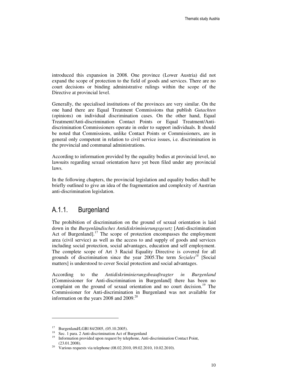introduced this expansion in 2008. One province (Lower Austria) did not expand the scope of protection to the field of goods and services. There are no court decisions or binding administrative rulings within the scope of the Directive at provincial level.

Generally, the specialised institutions of the provinces are very similar. On the one hand there are Equal Treatment Commissions that publish *Gutachten* (opinions) on individual discrimination cases. On the other hand, Equal Treatment/Anti-discrimination Contact Points or Equal Treatment/Antidiscrimination Commissioners operate in order to support individuals. It should be noted that Commissions, unlike Contact Points or Commissioners, are in general only competent in relation to civil service issues, i.e. discrimination in the provincial and communal administrations.

According to information provided by the equality bodies at provincial level, no lawsuits regarding sexual orientation have yet been filed under any provincial laws.

In the following chapters, the provincial legislation and equality bodies shall be briefly outlined to give an idea of the fragmentation and complexity of Austrian anti-discrimination legislation.

### A.1.1. Burgenland

The prohibition of discrimination on the ground of sexual orientation is laid down in the *Burgenländisches Antidiskriminierungsgesetz* [Anti-discrimination Act of Burgenland].<sup>17</sup> The scope of protection encompasses the employment area (civil service) as well as the access to and supply of goods and services including social protection, social advantages, education and self employment. The complete scope of Art 3 Racial Equality Directive is covered for all grounds of discrimination since the year 2005.The term *Soziales<sup>18</sup>* [Social matters] is understood to cover Social protection and social advantages.

According to the *Antidiskriminierungsbeauftragter in Burgenland* [Commissioner for Anti-discrimination in Burgenland] there has been no complaint on the ground of sexual orientation and no court decision.<sup>19</sup> The Commissioner for Anti-discrimination in Burgenland was not available for information on the years 2008 and 2009.<sup>20</sup>

<sup>17</sup> Burgenland/LGBl 84/2005, (05.10.2005).

<sup>18</sup> Sec. 1 para. 2 Anti-discrimination Act of Burgenland

<sup>&</sup>lt;sup>19</sup> Information provided upon request by telephone, Anti-discrimination Contact Point, (23.01.2008).

<sup>&</sup>lt;sup>20</sup> Various requests via telephone (08.02.2010, 09.02.2010, 10.02.2010).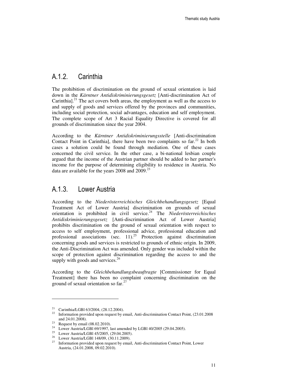### A.1.2 Carinthia

The prohibition of discrimination on the ground of sexual orientation is laid down in the *Kärntner Antidiskriminierungsgesetz* [Anti-discrimination Act of Carinthia]. $^{21}$  The act covers both areas, the employment as well as the access to and supply of goods and services offered by the provinces and communities, including social protection, social advantages, education and self employment. The complete scope of Art 3 Racial Equality Directive is covered for all grounds of discrimination since the year 2004.

According to the *Kärntner Antidiskriminierungsstelle* [Anti-discrimination Contact Point in Carinthial, there have been two complaints so  $far<sup>22</sup>$  In both cases a solution could be found through mediation. One of these cases concerned the civil service. In the other case, a bi-national lesbian couple argued that the income of the Austrian partner should be added to her partner's income for the purpose of determining eligibility to residence in Austria. No data are available for the years  $2008$  and  $2009$ <sup>23</sup>

### A.1.3. Lower Austria

According to the *Niederösterreichisches Gleichbehandlungsgesetz* [Equal Treatment Act of Lower Austria] discrimination on grounds of sexual orientation is prohibited in civil service.<sup>24</sup> The *Niederösterreichisches Antidiskriminierungsgesetz* [Anti-discrimination Act of Lower Austria] prohibits discrimination on the ground of sexual orientation with respect to access to self employment, professional advice, professional education and professional associations (sec.  $11$ ).<sup>25</sup> Protection against discrimination concerning goods and services is restricted to grounds of ethnic origin. In 2009, the Anti-Discrimination Act was amended. Only gender was included within the scope of protection against discrimination regarding the access to and the supply with goods and services.<sup>26</sup>

According to the *Gleichbehandlungsbeauftragte* [Commissioner for Equal Treatment] there has been no complaint concerning discrimination on the ground of sexual orientation so  $far.^{27}$ 

<sup>21</sup> Carinthia/LGBl 63/2004, (28.12.2004).

<sup>22</sup> Information provided upon request by email, Anti-discrimination Contact Point, (23.01.2008 and 24.01.2008).

 $23$  Request by email (08.02.2010).

<sup>24</sup> Lower Austria/LGBl 69/1997, last amended by LGBl 40/2005 (29.04.2005).

<sup>25</sup> Lower Austria/LGBl 45/2005, (29.04.2005).

<sup>&</sup>lt;sup>26</sup> Lower Austria/LGBI 148/09, (30.11.2009).<br><sup>27</sup> Information provided upon request by email

<sup>27</sup> Information provided upon request by email, Anti-discrimination Contact Point, Lower Austria, (24.01.2008, 09.02.2010).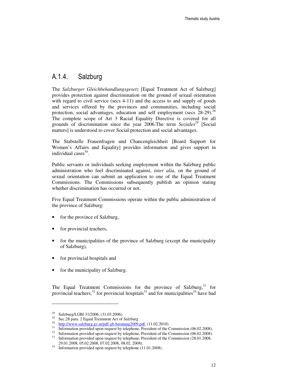### A.1.4. Salzburg

The *Salzburger Gleichbehandlungsgesetz* [Equal Treatment Act of Salzburg] provides protection against discrimination on the ground of sexual orientation with regard to civil service (secs 4-11) and the access to and supply of goods and services offered by the provinces and communities, including social protection, social advantages, education and self employment (secs  $28-29$ ).<sup>28</sup> The complete scope of Art 3 Racial Equality Directive is covered for all grounds of discrimination since the year 2006.The term *Soziales<sup>29</sup>* [Social matters] is understood to cover Social protection and social advantages.

The Stabstelle Frauenfragen und Chancengleichheit [Board Support for Women's Affairs and Equality] provides information and gives support in individual cases<sup>30</sup>.

Public servants or individuals seeking employment within the Salzburg public administration who feel discriminated against, *inter alia*, on the ground of sexual orientation can submit an application to one of the Equal Treatment Commissions. The Commissions subsequently publish an opinion stating whether discrimination has occurred or not.

Five Equal Treatment Commissions operate within the public administration of the province of Salzburg:

- for the province of Salzburg,
- for provincial teachers,
- for the municipalities of the province of Salzburg (except the municipality of Salzburg),
- for provincial hospitals and
- for the municipality of Salzburg.

The Equal Treatment Commissions for the province of Salzburg,  $31$  for provincial teachers,<sup>32</sup> for provincial hospitals<sup>33</sup> and for municipalities<sup>34</sup> have had

<sup>28</sup> Salzburg/LGBl 31/2006, (31.03.2006).

<sup>29</sup> Sec.28 para. 2 Equal Treatment Act of Salzburg

 $^{30}$  http://www.salzburg.gv.at/pdf-gb-beratung2009.pdf, (11.02.2010).

 $\frac{31}{2}$  Information provided upon request by telephone, President of the Commission (06.02.2008).

 $\frac{32}{33}$  Information provided upon request by telephone, President of the Commission (06.02.2008).

<sup>33</sup> Information provided upon request by telephone, President of the Commission (28.01.2008, 29.01.2008, 05.02.2008, 07.02.2008, 08.02. 2008).

<sup>&</sup>lt;sup>34</sup> Information provided upon request by telephone (11.01.2008).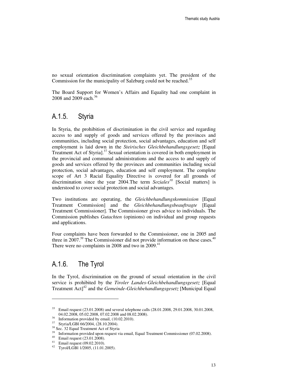no sexual orientation discrimination complaints yet. The president of the Commission for the municipality of Salzburg could not be reached.<sup>35</sup>

The Board Support for Women's Affairs and Equality had one complaint in 2008 and 2009 each.<sup>36</sup>

### A.1.5. Styria

In Styria, the prohibition of discrimination in the civil service and regarding access to and supply of goods and services offered by the provinces and communities, including social protection, social advantages, education and self employment is laid down in the *Steirisches Gleichbehandlungsgesetz* [Equal Treatment Act of Styria].<sup>37</sup> Sexual orientation is covered in both employment in the provincial and communal administrations and the access to and supply of goods and services offered by the provinces and communities including social protection, social advantages, education and self employment. The complete scope of Art 3 Racial Equality Directive is covered for all grounds of discrimination since the year 2004.The term *Soziales<sup>38</sup>* [Social matters] is understood to cover social protection and social advantages.

Two institutions are operating, the *Gleichbehandlungskommission* [Equal Treatment Commission] and the *Gleichbehandlungsbeauftragte* [Equal Treatment Commissioner]. The Commissioner gives advice to individuals. The Commission publishes *Gutachten* (opinions) on individual and group requests and applications.

Four complaints have been forwarded to the Commissioner, one in 2005 and three in 2007.<sup>39</sup> The Commissioner did not provide information on these cases.<sup>40</sup> There were no complaints in 2008 and two in  $2009<sup>41</sup>$ 

### A.1.6. The Tyrol

 $\overline{a}$ 

In the Tyrol, discrimination on the ground of sexual orientation in the civil service is prohibited by the *Tiroler Landes-Gleichbehandlungsgesetz* [Equal Treatment Act<sup>12</sup> and the *Gemeinde-Gleichbehandlungsgesetz* [Municipal Equal

<sup>&</sup>lt;sup>35</sup> Email request (23.01.2008) and several telephone calls (28.01.2008, 29.01.2008, 30.01.2008, 04.02.2008, 05.02.2008, 07.02.2008 and 08.02.2008).

<sup>36</sup> Information provided by email, (10.02.2010).

<sup>37</sup> Styria/LGBl 66/2004, (28.10.2004).

 $38$  Sec. 32 Equal Treatment Act of Styria

Information provided upon request via email, Equal Treatment Commissioner (07.02.2008).

<sup>40</sup> Email request (23.01.2008).

<sup>41</sup> Email request (09.02.2010).

<sup>42</sup> Tyrol/LGBl 1/2005, (11.01.2005).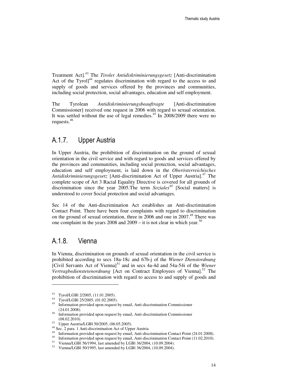Treatment Act].<sup>43</sup> The *Tiroler Antidiskriminierungsgesetz* [Anti-discrimination Act of the Tyrol] $44$  regulates discrimination with regard to the access to and supply of goods and services offered by the provinces and communities, including social protection, social advantages, education and self employment.

The Tyrolean *Antidiskriminierungsbeauftragte* [Anti-discrimination Commissioner] received one request in 2006 with regard to sexual orientation. It was settled without the use of legal remedies.<sup>45</sup> In 2008/2009 there were no requests.<sup>46</sup>

### A.1.7. Upper Austria

In Upper Austria, the prohibition of discrimination on the ground of sexual orientation in the civil service and with regard to goods and services offered by the provinces and communities, including social protection, social advantages, education and self employment, is laid down in the *Oberösterreichisches Antidiskriminierungsgesetz* [Anti-discrimination Act of Upper Austria].<sup>47</sup> The complete scope of Art 3 Racial Equality Directive is covered for all grounds of discrimination since the year 2005.The term *Soziales<sup>48</sup>* [Social matters] is understood to cover Social protection and social advantages.

Sec 14 of the Anti-discrimination Act establishes an Anti-discrimination Contact Point. There have been four complaints with regard to discrimination on the ground of sexual orientation, three in 2006 and one in 2007.<sup>49</sup> There was one complaint in the years 2008 and  $2009 -$  it is not clear in which year.<sup>50</sup>

### A.1.8. Vienna

l

In Vienna, discrimination on grounds of sexual orientation in the civil service is prohibited according to secs 18a-18c and 67b-j of the *Wiener Dienstordnung* [Civil Servants Act of Vienna]<sup>51</sup> and in secs 4a-4d and 54a-54i of the *Wiener Vertragbedienstetenordnung* [Act on Contract Employees of Vienna].<sup>52</sup> The prohibition of discrimination with regard to access to and supply of goods and

<sup>&</sup>lt;sup>43</sup> Tyrol/LGBl 2/2005, (11.01.2005).

 $^{44}$  Tyrol/LGBl 25/2005, (01.02.2005).

<sup>45</sup> Information provided upon request by email, Anti-discrimination Commissioner (24.01.2008).

<sup>46</sup> Information provided upon request by email, Anti-discrimination Commissioner (08.02.2010).

<sup>47</sup> Upper Austria/LGBl 50/2005, (06.05.2005).

 $^{48}$  Sec. 2 para. 1 Anti-discrimination Act of Upper Austria

<sup>&</sup>lt;sup>49</sup> Information provided upon request by email, Anti-discrimination Contact Point (24.01.2008).<br><sup>50</sup> Information provided upon request by email, Anti-discrimination Contact Point (11.02.2010).

<sup>&</sup>lt;sup>50</sup> Information provided upon request by email, Anti-discrimination Contact Point (11.02.2010).<br><sup>51</sup> Vienna (LCBL 56/1004, lest emanded by LCBL 36/2004, (10.00.2004).

<sup>51</sup> Vienna/LGBl 56/1994, last amended by LGBl 36/2004, (10.09.2004).

<sup>52</sup> Vienna/LGBl 50/1995, last amended by LGBl 36/2004, (10.09.2004).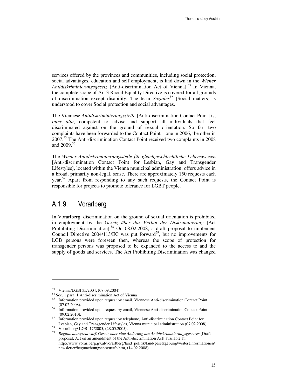services offered by the provinces and communities, including social protection, social advantages, education and self employment, is laid down in the *Wiener*  Antidiskriminierungsgesetz [Anti-discrimination Act of Vienna].<sup>53</sup> In Vienna, the complete scope of Art 3 Racial Equality Directive is covered for all grounds of discrimination except disability. The term *Soziales<sup>54</sup>* [Social matters] is understood to cover Social protection and social advantages.

The Viennese *Antidiskriminierungsstelle* [Anti-discrimination Contact Point] is, *inter alia*, competent to advise and support all individuals that feel discriminated against on the ground of sexual orientation. So far, two complaints have been forwarded to the Contact Point – one in 2006, the other in 2007.<sup>55</sup> The Anti-discrimination Contact Point received two complaints in 2008 and  $2009^{56}$ 

The *Wiener Antidiskriminierungsstelle für gleichgeschlechtliche Lebensweisen*  [Anti-discrimination Contact Point for Lesbian, Gay and Transgender Lifestyles], located within the Vienna municipal administration, offers advice in a broad, primarily non-legal, sense. There are approximately 150 requests each year.<sup>57</sup> Apart from responding to any such requests, the Contact Point is responsible for projects to promote tolerance for LGBT people.

### A.1.9. Vorarlberg

In Vorarlberg, discrimination on the ground of sexual orientation is prohibited in employment by the *Gesetz über das Verbot der Diskriminierung* [Act Prohibiting Discrimination<sup>58</sup> On 08.02.2008, a draft proposal to implement Council Directive  $2004/113/EC$  was put forward<sup>59</sup>, but no improvements for LGB persons were foreseen then, whereas the scope of protection for transgender persons was proposed to be expanded to the access to and the supply of goods and services. The Act Prohibiting Discrimination was changed

<sup>53</sup> Vienna/LGBl 35/2004, (08.09.2004).

<sup>54</sup> Sec. 1 para. 1 Anti-discrimination Act of Vienna

<sup>55</sup> Information provided upon request by email, Viennese Anti-discrimination Contact Point (07.02.2008).

<sup>56</sup> Information provided upon request by email, Viennese Anti-discrimination Contact Point (09.02.2010).

<sup>57</sup> Information provided upon request by telephone, Anti-discrimination Contact Point for Lesbian, Gay and Transgender Lifestyles, Vienna municipal administration (07.02.2008).

Vorarlberg/ LGBl 17/2005, (28.05.2005).

<sup>59</sup> *Begutachtungsentwurf, Gesetz über eine Änderung des Antidiskriminierungsgesetzes* [Draft proposal, Act on an amendment of the Anti-discrimination Act] available at: http://www.vorarlberg.gv.at/vorarlberg/land\_politik/land/gesetzgebung/weitereinformationen/ newsletter/begutachtungsentwuerfe.htm, (14.02.2008).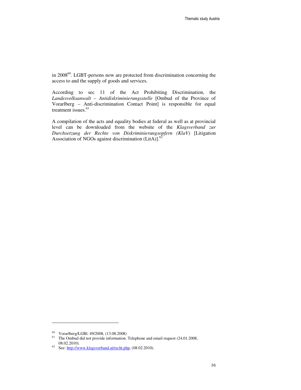in 2008<sup>60</sup>. LGBT-persons now are protected from discrimination concerning the access to and the supply of goods and services.

According to sec 11 of the Act Prohibiting Discrimination, the *Landesvolksanwalt – Antidiskriminierungsstelle* [Ombud of the Province of Vorarlberg – Anti-discrimination Contact Point] is responsible for equal treatment issues.<sup>61</sup>

A compilation of the acts and equality bodies at federal as well as at provincial level can be downloaded from the website of the *Klagsverband zur Durchsetzung der Rechte von Diskriminierungsopfern (KlaV)* [Litigation Association of NGOs against discrimination (LitA)].<sup>6</sup>

<sup>60</sup> Vorarlberg/LGBl. 49/2008, (13.08.2008)

<sup>&</sup>lt;sup>61</sup> The Ombud did not provide information. Telephone and email request (24.01.2008, 08.02.2010).

<sup>62</sup> See: http://www.klagsverband.at/recht.php. (08.02.2010).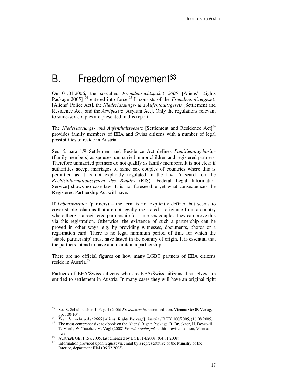## B. Freedom of movement<sup>63</sup>

On 01.01.2006, the so-called *Fremdenrechtspaket 2005* [Aliens' Rights Package 2005]<sup>64</sup> entered into force.<sup>65</sup> It consists of the *Fremdenpolizeigesetz* [Aliens' Police Act], the *Niederlassungs- und Aufenthaltsgesetz* [Settlement and Residence Act] and the *Asylgesetz* [Asylum Act]. Only the regulations relevant to same-sex couples are presented in this report.

The *Niederlassungs- und Aufenthaltsgesetz* [Settlement and Residence Act]<sup>66</sup> provides family members of EEA and Swiss citizens with a number of legal possibilities to reside in Austria.

Sec. 2 para 1/9 Settlement and Residence Act defines *Familienangehörige* (family members) as spouses, unmarried minor children and registered partners. Therefore unmarried partners do not qualify as family members. It is not clear if authorities accept marriages of same sex couples of countries where this is permitted as it is not explicitly regulated in the law. A search on the *Rechtsinformationssystem des Bundes* (RIS) [Federal Legal Information Service] shows no case law. It is not foreseeable yet what consequences the Registered Partnership Act will have.

If *Lebenspartner* (partners) – the term is not explicitly defined but seems to cover stable relations that are not legally registered – originate from a country where there is a registered partnership for same-sex couples, they can prove this via this registration. Otherwise, the existence of such a partnership can be proved in other ways, e.g. by providing witnesses, documents, photos or a registration card. There is no legal minimum period of time for which the 'stable partnership' must have lasted in the country of origin. It is essential that the partners intend to have and maintain a partnership.

There are no official figures on how many LGBT partners of EEA citizens reside in Austria.<sup>67</sup>

Partners of EEA/Swiss citizens who are EEA/Swiss citizens themselves are entitled to settlement in Austria. In many cases they will have an original right

<sup>63</sup> See S. Schuhmacher, J. Peyerl (2006) *Fremdenrecht*, second edition, Vienna: OeGB Verlag, pp. 100-104.

<sup>64</sup> *Fremdenrechtspaket 2005* [Aliens' Rights Package], Austria / BGBl 100/2005, (16.08.2005).

<sup>65</sup> The most comprehensive textbook on the Aliens' Rights Package: R. Bruckner, H. Doszokil, T. Marth, W. Taucher, M. Vogl (2008) *Fremdenrechtspaket*, third revised edition, Vienna: nwv.

<sup>66</sup> Austria/BGBl I 157/2005, last amended by BGBl I 4/2008, (04.01.2008).

Information provided upon request via email by a representative of the Ministry of the Interior, department III/4 (06.02.2008).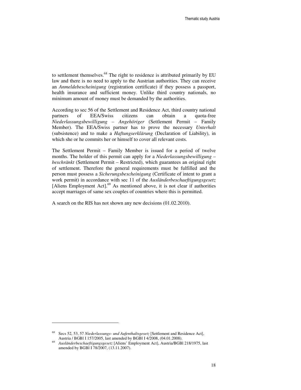to settlement themselves.<sup>68</sup> The right to residence is attributed primarily by EU law and there is no need to apply to the Austrian authorities. They can receive an *Anmeldebescheinigung* (registration certificate) if they possess a passport, health insurance and sufficient money. Unlike third country nationals, no minimum amount of money must be demanded by the authorities.

According to sec 56 of the Settlement and Residence Act, third country national partners of EEA/Swiss citizens can obtain a quota-free *Niederlassungsbewilligung – Angehöriger* (Settlement Permit – Family Member). The EEA/Swiss partner has to prove the necessary *Unterhalt* (subsistence) and to make a *Haftungserklärung* (Declaration of Liability), in which she or he commits her or himself to cover all relevant costs.

The Settlement Permit – Family Member is issued for a period of twelve months. The holder of this permit can apply for a *Niederlassungsbewilligung – beschränkt* (Settlement Permit – Restricted), which guarantees an original right of settlement. Therefore the general requirements must be fulfilled and the person must possess a *Sicherungsbescheinigung* (Certificate of intent to grant a work permit) in accordance with sec 11 of the *Ausländerbeschaeftigungsgesetz* [Aliens Employment Act].<sup>69</sup> As mentioned above, it is not clear if authorities accept marriages of same sex couples of countries where this is permitted.

A search on the RIS has not shown any new decisions (01.02.2010).

<sup>68</sup> Secs 52, 53, 57 *Niederlassungs- und Aufenthaltsgesetz* [Settlement and Residence Act], Austria / BGBl I 157/2005, last amended by BGBl I 4/2008, (04.01.2008).

<sup>69</sup> *Ausländerbeschaeftigungsgesetz* [Aliens' Employment Act], Austria/BGBl 218/1975, last amended by BGBl I 78/2007, (13.11.2007).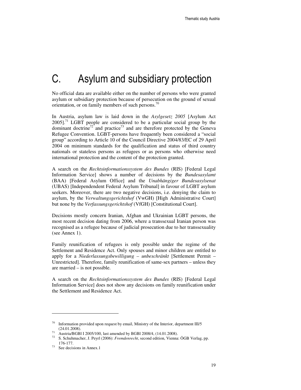## C. Asylum and subsidiary protection

No official data are available either on the number of persons who were granted asylum or subsidiary protection because of persecution on the ground of sexual orientation, or on family members of such persons.<sup>70</sup>

In Austria, asylum law is laid down in the *Asylgesetz 2005* [Asylum Act  $2005$ ].<sup>71</sup> LGBT people are considered to be a particular social group by the dominant doctrine<sup>72</sup> and practice<sup>73</sup> and are therefore protected by the Geneva Refugee Convention. LGBT-persons have frequently been considered a "social group" according to Article 10 of the Council Directive 2004/83/EC of 29 April 2004 on minimum standards for the qualification and status of third country nationals or stateless persons as refugees or as persons who otherwise need international protection and the content of the protection granted.

A search on the *Rechtsinformationssystem des Bundes* (RIS) [Federal Legal Information Service] shows a number of decisions by the *Bundesasylamt*  (BAA) [Federal Asylum Office] and the *Unabhängiger Bundesasylsenat* (UBAS) [Independendent Federal Asylum Tribunal] in favour of LGBT asylum seekers. Moreover, there are two negative decisions, i.e. denying the claim to asylum, by the *Verwaltungsgerichtshof* (VwGH) [High Administrative Court] but none by the *Verfassungsgerichtshof* (VfGH) [Constitutional Court].

Decisions mostly concern Iranian, Afghan and Ukrainian LGBT persons, the most recent decision dating from 2006, where a transsexual Iranian person was recognised as a refugee because of judicial prosecution due to her transsexuality (see Annex 1).

Family reunification of refugees is only possible under the regime of the Settlement and Residence Act. Only spouses and minor children are entitled to apply for a *Niederlassungsbewilligung – unbeschränkt* [Settlement Permit – Unrestricted]. Therefore, family reunification of same-sex partners – unless they are married – is not possible.

A search on the *Rechtsinformationssystem des Bundes* (RIS) [Federal Legal Information Service] does not show any decisions on family reunification under the Settlement and Residence Act.

 $70\,$  Information provided upon request by email, Ministry of the Interior, department III/5 (24.01.2008).

<sup>&</sup>lt;sup>71</sup> Austria/BGBI I 2005/100, last amended by BGBI 2008/4, (14.01.2008).<br><sup>72</sup> S. Schubmeeker, J. Baurl (2006): Enough regelative approach edition. Vienne

<sup>72</sup> S. Schuhmacher, J. Peyrl (2006): *Fremdenrecht*, second edition, Vienna: ÖGB Verlag, pp. 176-177.

<sup>73</sup> See decisions in Annex.1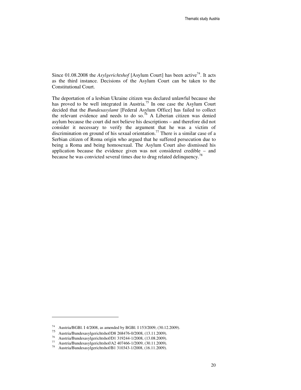Since 01.08.2008 the *Asylgerichtshof* [Asylum Court] has been active<sup>74</sup>. It acts as the third instance. Decisions of the Asylum Court can be taken to the Constitutional Court.

The deportation of a lesbian Ukraine citizen was declared unlawful because she has proved to be well integrated in Austria.<sup>75</sup> In one case the Asylum Court decided that the *Bundesasylamt* [Federal Asylum Office] has failed to collect the relevant evidence and needs to do so.<sup>76</sup> A Liberian citizen was denied asylum because the court did not believe his descriptions – and therefore did not consider it necessary to verify the argument that he was a victim of discrimination on ground of his sexual orientation.<sup>77</sup> There is a similar case of a Serbian citizen of Roma origin who argued that he suffered persecution due to being a Roma and being homosexual. The Asylum Court also dismissed his application because the evidence given was not considered credible – and because he was convicted several times due to drug related delinquency.<sup>78</sup>

<sup>74</sup> Austria/BGBl. I 4/2008, as amended by BGBl. I 153/2009, (30.12.2009).

<sup>75</sup> Austria/Bundesasylgerichtshof/D8 268476-0/2008, (13.11.2009).

<sup>76</sup> Austria/Bundesasylgerichtshof/D1 319244-1/2008, (13.08.2009).

<sup>77</sup> Austria/Bundesasylgerichtshof/A2 407466-1/2009, (30.11.2009).

<sup>78</sup> Austria/Bundesasylgerichtshof/B1 310343-1/2008, (16.11.2009).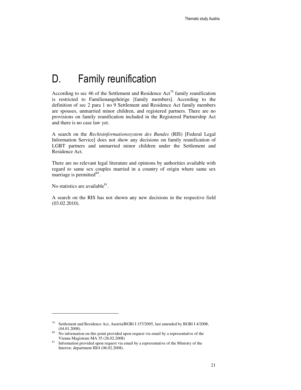## D. Family reunification

According to sec 46 of the Settlement and Residence Act<sup>79</sup> family reunification is restricted to Familienangehörige [family members]. According to the definition of sec 2 para 1 no 9 Settlement and Residence Act family members are spouses, unmarried minor children, and registered partners. There are no provisions on family reunification included in the Registered Partnership Act and there is no case law yet.

A search on the *Rechtsinformationssystem des Bundes* (RIS) [Federal Legal Information Service] does not show any decisions on family reunification of LGBT partners and unmarried minor children under the Settlement and Residence Act.

There are no relevant legal literature and opinions by authorities available with regard to same sex couples married in a country of origin where same sex marriage is permitted<sup>80</sup>.

No statistics are available $81$ .

l

A search on the RIS has not shown any new decisions in the respective field (03.02.2010).

<sup>79</sup> Settlement and Residence Act, Austria/BGBl I 157/2005, last amended by BGBl I 4/2008, (04.01.2008).

<sup>&</sup>lt;sup>80</sup> No information on this point provided upon request via email by a representative of the Vienna Magistrate MA 35 (26.02.2008)

<sup>&</sup>lt;sup>81</sup> Information provided upon request via email by a representative of the Ministry of the Interior, department III/4 (06.02.2008).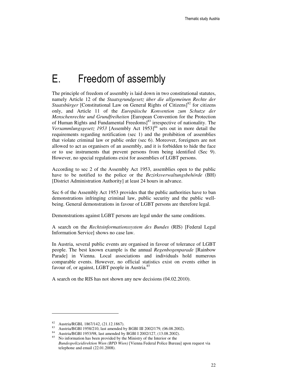## E. Freedom of assembly

The principle of freedom of assembly is laid down in two constitutional statutes, namely Article 12 of the *Staatsgrundgesetz über die allgemeinen Rechte der Staatsbürger* [Constitutional Law on General Rights of Citizens]<sup>82</sup> for citizens only, and Article 11 of the *Europäische Konvention zum Schutze der Menschenrechte und Grundfreiheiten* [European Convention for the Protection of Human Rights and Fundamental Freedoms]<sup>83</sup> irrespective of nationality. The *Versammlungsgesetz* 1953 [Assembly Act 1953]<sup>84</sup> sets out in more detail the requirements regarding notification (sec 1) and the prohibition of assemblies that violate criminal law or public order (sec 6). Moreover, foreigners are not allowed to act as organisers of an assembly, and it is forbidden to hide the face or to use instruments that prevent persons from being identified (Sec 9). However, no special regulations exist for assemblies of LGBT persons.

According to sec 2 of the Assembly Act 1953, assemblies open to the public have to be notified to the police or the *Bezirksverwaltungsbehörde* (BH) [District Administration Authority] at least 24 hours in advance.

Sec 6 of the Assembly Act 1953 provides that the public authorities have to ban demonstrations infringing criminal law, public security and the public wellbeing. General demonstrations in favour of LGBT persons are therefore legal.

Demonstrations against LGBT persons are legal under the same conditions.

A search on the *Rechtsinformationssystem des Bundes* (RIS) [Federal Legal Information Service] shows no case law.

In Austria, several public events are organised in favour of tolerance of LGBT people. The best known example is the annual *Regenbogenparade* [Rainbow Parade] in Vienna. Local associations and individuals hold numerous comparable events. However, no official statistics exist on events either in favour of, or against, LGBT people in Austria.<sup>85</sup>

A search on the RIS has not shown any new decisions (04.02.2010).

<sup>&</sup>lt;sup>82</sup> Austria/RGBL 1867/142,  $(21.12.1867)$ .<br><sup>83</sup> Austria/RGBL 1058/210, last amanded by

Austria/BGBl 1958/210, last amended by BGBl III 2002/179, (06.08.2002).

<sup>&</sup>lt;sup>84</sup> Austria/BGBI 1953/98, last amended by BGBI I 2002/127, (13.08.2002).

<sup>85</sup> No information has been provided by the Ministry of the Interior or the *Bundespolizeidirektion Wien (BPD Wien)* [Vienna Federal Police Bureau] upon request via telephone and email (22.01.2008).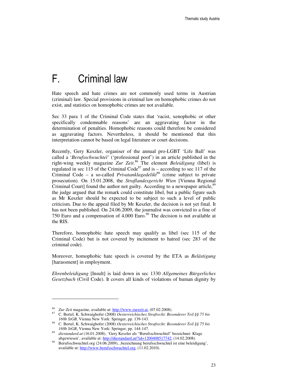## F. Criminal law

Hate speech and hate crimes are not commonly used terms in Austrian (criminal) law. Special provisions in criminal law on homophobic crimes do not exist, and statistics on homophobic crimes are not available.

Sec 33 para 1 of the Criminal Code states that 'racist, xenophobic or other specifically condemnable reasons' are an aggravating factor in the determination of penalties. Homophobic reasons could therefore be considered as aggravating factors. Nevertheless, it should be mentioned that this interpretation cannot be based on legal literature or court decisions.

Recently, Gery Keszler, organiser of the annual pro-LGBT 'Life Ball' was called a '*Berufsschwuchtel'* ('professional poof') in an article published in the right-wing weekly magazine *Zur Zeit*. <sup>86</sup> The element *Beleidigung* (libel) is regulated in sec 115 of the Criminal Code<sup>87</sup> and is – according to sec 117 of the Criminal Code – a so-called *Privatanklagedelikt*<sup>88</sup> (crime subject to private prosecution). On 15.01.2008, the *Straflandesgericht Wien* [Vienna Regional Criminal Court] found the author not guilty. According to a newspaper article,<sup>89</sup> the judge argued that the remark could constitute libel, but a public figure such as Mr Keszler should be expected to be subject to such a level of public criticism. Due to the appeal filed by Mr Keszler, the decision is not yet final. It has not been published. On 24.06.2009, the journalist was convicted to a fine of 750 Euro and a compensation of  $4,000$  Euro.<sup>90</sup> The decision is not available at the RIS.

Therefore, homophobic hate speech may qualify as libel (sec 115 of the Criminal Code) but is not covered by incitement to hatred (sec 283 of the criminal code).

Moreover, homophobic hate speech is covered by the ETA as *Belästigung* [harassment] in employment.

*Ehrenbeleidigung* [Insult] is laid down in sec 1330 *Allgemeines Bürgerliches Gesetzbuch* (Civil Code). It covers all kinds of violations of human dignity by

<sup>86</sup> *Zur Zeit* magazine, available at: http://www.zurzeit.at, (07.02.2008).

<sup>87</sup> C. Bertel, K. Schwaighofer (2008) *Oesterreichisches Strafrecht: Besonderer Teil §§ 75 bis 168b StGB*, Vienna New York: Springer, pp. 139-143.

<sup>88</sup> C. Bertel, K. Schwaighofer (2008) *Oesterreichisches Strafrecht: Besonderer Teil §§ 75 bis 168b StGB*, Vienna New York: Springer, pp. 144-147.

diestandard.at (16.01.2008), 'Gery Keszler als "Berufsschwuchtel" bezeichnet: Klage abgewiesen', available at: http://diestandard.at/?id=1200408517742, (14.02.2008).

Berufsschwuchtel.org (24.06.2009), bezeichnung berufsschwuchtel ist eine beleidigung', available at: http://www.berufsschwuchtel.org, (11.02.2010).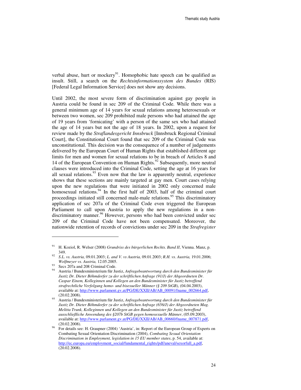verbal abuse, hurt or mockery $91$ . Homophobic hate speech can be qualified as insult. Still, a search on the *Rechtsinformationssystem des Bundes* (RIS) [Federal Legal Information Service] does not show any decisions.

Until 2002, the most severe form of discrimination against gay people in Austria could be found in sec 209 of the Criminal Code. While there was a general minimum age of 14 years for sexual relations among heterosexuals or between two women, sec 209 prohibited male persons who had attained the age of 19 years from 'fornicating' with a person of the same sex who had attained the age of 14 years but not the age of 18 years. In 2002, upon a request for review made by the *Straflandesgericht Innsbruck* [Innsbruck Regional Criminal Court], the Constitutional Court found that sec 209 of the Criminal Code was unconstitutional. This decision was the consequence of a number of judgements delivered by the European Court of Human Rights that established different age limits for men and women for sexual relations to be in breach of Articles 8 and 14 of the European Convention on Human Rights.<sup>92</sup> Subsequently, more neutral clauses were introduced into the Criminal Code, setting the age at 16 years for all sexual relations.<sup>93</sup> Even now that the law is apparently neutral, experience shows that these sections are mainly targeted at gay men. Court cases relying upon the new regulations that were initiated in 2002 only concerned male homosexual relations.<sup>94</sup> In the first half of 2003, half of the criminal court proceedings initiated still concerned male-male relations.<sup>95</sup> This discriminatory application of sec 207a of the Criminal Code even triggered the European Parliament to call upon Austria to apply the new regulations in a nondiscriminatory manner.<sup>96</sup> However, persons who had been convicted under sec 209 of the Criminal Code have not been compensated. Moreover, the nationwide retention of records of convictions under sec 209 in the *Strafregister*

<sup>91</sup> H. Koziol, R. Welser (2008) *Grundriss des bürgerlichen Rechts. Band II*, Vienna. Manz, p. 349.

<sup>92</sup> *S.L. vs. Austria,* 09.01.2003; *L. and V. vs Austria,* 09.01.2003; *R.H. vs. Austria,* 19.01.2006; *Wolfmeyer vs. Austria,* 12.05.2005.

 $^{93}$  Secs 207a and 208 Criminal Code.

<sup>94</sup> Austria / Bundesministerium für Justiz, *Anfragebeantwortung durch den Bundesminister für Justiz Dr. Dieter Böhmdorfer zu der schriftlichen Anfrage (91/J) der Abgeordneten Dr. Caspar Einem, Kolleginnen und Kollegen an den Bundesminister für Justiz betreffend strafrechtliche Verfolgung homo- und bisexueller Männer (§ 209 StGB)*, (04.04.2003), available at: http://www.parlament.gv.at/PG/DE/XXII/AB/AB\_00091/fname\_002664.pdf, (20.02.2008).

<sup>95</sup> Austria / Bundesministerium für Justiz, *Anfragebeantwortung durch den Bundesminister für Justiz Dr. Dieter Böhmdorfer zu der schriftlichen Anfrage (656/J) der Abgeordneten Mag. Melitta Trunk, Kolleginnen und Kollegen an den Bundesminister für Justiz betreffend ausschließliche Anwendung des §207b StGB gegen homosexuelle Männer*, (05.09.2003), available at: http://www.parlament.gv.at/PG/DE/XXII/AB/AB\_00660/fname\_007871.pdf, (20.02.2008).

<sup>96</sup> For details see: H. Graupner (2004) 'Austria', in: Report of the European Group of Experts on Combating Sexual Orientation Discrimination (2004), *Combating Sexual Orientation Discrimination in Employment, legislation in 15 EU member states*, p. 54, available at: http://ec.europa.eu/employment\_social/fundamental\_rights/pdf/aneval/sexorfull\_a.pdf, (20.02.2008).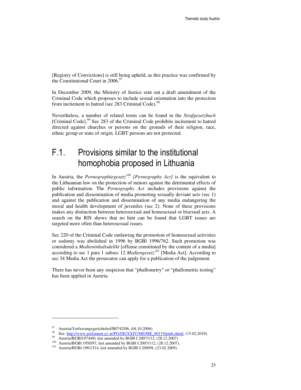[Registry of Convictions] is still being upheld, as this practice was confirmed by the Constitutional Court in  $2006.<sup>97</sup>$ 

In December 2009, the Ministry of Justice sent out a draft amendment of the Criminal Code which proposes to include sexual orientation into the protection from incitement to hatred (sec 283 Criminal Code).<sup>98</sup>

Nevertheless, a number of related terms can be found in the *Strafgesetzbuch* [Criminal Code].<sup>99</sup> Sec 283 of the Criminal Code prohibits incitement to hatred directed against churches or persons on the grounds of their religion, race, ethnic group or state of origin. LGBT persons are not protected.

## F.1. Provisions similar to the institutional homophobia proposed in Lithuania

In Austria, the *Pornographiegesetz<sup>100</sup> [Pornography Act]* is the equivalent to the Lithuanian law on the protection of minors against the detrimental effects of public information. The *Pornography Act* includes provisions against the publication and dissemination of media promoting sexually deviant acts (sec 1) and against the publication and dissemination of any media endangering the moral and health development of juveniles (sec 2). None of these provisions makes any distinction between heterosexual and homosexual or bisexual acts. A search on the RIS shows that no hint can be found that LGBT issues are targeted more often than heterosexual issues.

Sec 220 of the Criminal Code outlawing the promotion of homosexual activities or sodomy was abolished in 1996 by BGBl 1996/762. Such promotion was considered a *Medieninhaltsdelikt* [offense constituted by the content of a media] according to sec 1 para 1 subsec 12 *Mediengesetz<sup>101</sup>* [Media Act]. According to sec 34 Media Act the prosecutor can apply for a publication of the judgement.

There has never been any suspicion that "phallometry" or "phallometric testing" has been applied in Austria.

Austria/Verfassungsgerichtshof/B0742/06, (04.10.2006).

<sup>98</sup> See: http://www.parlament.gv.at/PG/DE/XXIV/ME/ME\_00119/pmh.shtml, (15.02.2010).

Austria/BGBl1974/60, last amended by BGBl I 2007/112, (28.12.2007)

<sup>100</sup> Austria/BGBl 1950/97, last amended by BGBl I 2007/112, (28.12.2007).

<sup>101</sup> Austria/BGBl 1981/314, last amended by BGBl I 2009/8, (23.02.2009).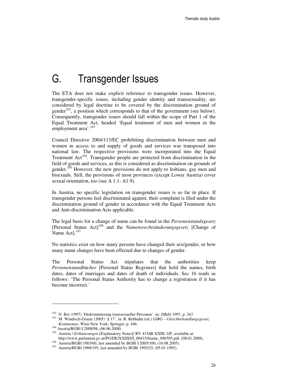## G. Transgender Issues

The ETA does not make explicit reference to transgender issues. However, transgender-specific issues, including gender identity and transsexuality, are considered by legal doctrine to be covered by the discrimination ground of gender<sup>102</sup>, a position which corresponds to that of the government (see below). Consequently, transgender issues should fall within the scope of Part 1 of the Equal Treatment Act, headed 'Equal treatment of men and women in the employment area'.<sup>103</sup>

Council Directive 2004/113/EC prohibiting discrimination between men and women in access to and supply of goods and services was transposed into national law. The respective provisions were incorporated into the Equal Treatment  $Act^{104}$ . Transgender people are protected from discrimination in the field of goods and services, as this is considered as discrimination on grounds of gender.<sup>105</sup> However, the new provisions do not apply to lesbians, gay men and bisexuals. Still, the provisions of most provinces (except Lower Austria) cover sexual orientation, too (see A 1.1- A1.9).

In Austria, no specific legislation on transgender issues is so far in place. If transgender persons feel discriminated against, their complaint is filed under the discrimination ground of gender in accordance with the Equal Treatment Acts and Anti-discrimination Acts applicable.

The legal basis for a change of name can be found in the *Personenstandsgesetz* [Personal Status Act]<sup>106</sup> and the *Namensrechtsänderungsgesetz* [Change of Name Act]. $107$ 

No statistics exist on how many persons have changed their sex/gender, or how many name changes have been effected due to changes of gender.

The Personal Status Act stipulates that the authorities keep *Personenstandbücher* [Personal Status Registers] that hold the names, birth dates, dates of marriages and dates of death of individuals. Sec 16 reads as follows: 'The Personal Status Authority has to change a registration if it has become incorrect.'

<sup>102</sup> N. Bei (1997) 'Diskriminierung transsexueller Personen', in*: DRdA* 1997, p. 24*5* 

<sup>103</sup> M. Windisch-Graetz (2005) '§ 17', in: R. Rebhahn (ed.) *GlBG – Gleichbehandlungsgesetz Kommentar*, Wien New York: Springer, p. 446.

<sup>104</sup> Austria/BGBl I 2008/98, (06.06.2008)

<sup>105</sup> Austria / *Erläuterungen* [Explanatory Notes]/ RV 415dB XXIII. GP, available at: http://www.parlament.gv.at/PG/DE/XXIII/I/I\_00415/fname\_096505.pdf, (08.01.2008).

<sup>106</sup> Austria/BGBl 1983/60, last amended by BGBl I 2005/100, (16.08.2005).

<sup>107</sup> Austria/BGBl 1988/195, last amended by BGBl 1995/25, (05.01.1995).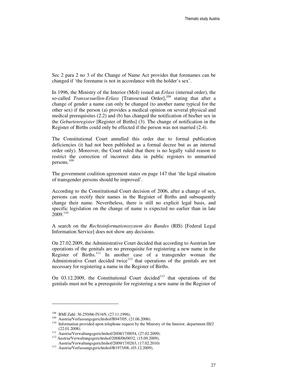Sec 2 para 2 no 3 of the Change of Name Act provides that forenames can be changed if 'the forename is not in accordance with the holder's sex'.

In 1996, the Ministry of the Interior (MoI) issued an *Erlass* (internal order), the so-called *Transsexuellen-Erlass* [Transsexual Order],<sup>108</sup> stating that after a change of gender a name can only be changed (to another name typical for the other sex) if the person (a) provides a medical opinion on several physical and medical prerequisites (2.2) and (b) has changed the notification of his/her sex in the *Geburtenregister* [Register of Births] (3). The change of notification in the Register of Births could only be effected if the person was not married (2.4).

The Constitutional Court annulled this order due to formal publication deficiencies (it had not been published as a formal decree but as an internal order only). Moreover, the Court ruled that there is no legally valid reason to restrict the correction of incorrect data in public registers to unmarried persons. 109

The government coalition agreement states on page 147 that 'the legal situation of transgender persons should be improved'.

According to the Constitutional Court decision of 2006, after a change of sex, persons can rectify their names in the Register of Births and subsequently change their name. Nevertheless, there is still no explicit legal basis, and specific legislation on the change of name is expected no earlier than in late  $2009.<sup>110</sup>$ 

A search on the *Rechtsinformationssystem des Bundes* (RIS) [Federal Legal Information Service] does not show any decisions.

On 27.02.2009, the Administrative Court decided that according to Austrian law operations of the genitals are no prerequisite for registering a new name in the Register of Births.<sup>111</sup> In another case of a transgender woman the Administrative Court decided twice $112$  that operations of the genitals are not necessary for registering a name in the Register of Births.

On  $03.12.2009$ , the Constitutional Court decided<sup>113</sup> that operations of the genitals must not be a prerequisite for registering a new name in the Register of

<sup>108</sup> BMI Zahl: 36.250/66-IV/4/9, (27.11.1996).

<sup>109</sup> Austria/Verfassungsgerichtshof/B947/05, (21.06.2006).

<sup>110</sup> Information provided upon telephone request by the Ministry of the Interior, department III/2 (22.01.2008).

<sup>111</sup> Austria/Verwaltungsgerichtshof/2008/17/0054, (27.02.2009).

<sup>112</sup> Austria/Verwaltungsgerichtshof/2008/06/0032, (15.09.2009), Austria/Verwaltungsgerichtshof/2009/17/0263, (17.02.2010)

<sup>113</sup> Austria/Verfassungsgerichtshof/B1973/08, (03.12.2009),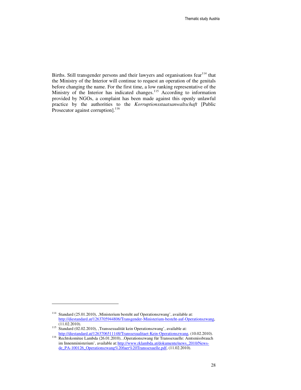Births. Still transgender persons and their lawyers and organisations fear<sup>114</sup> that the Ministry of the Interior will continue to request an operation of the genitals before changing the name. For the first time, a low ranking representative of the Ministry of the Interior has indicated changes.<sup>115</sup> According to information provided by NGOs, a complaint has been made against this openly unlawful practice by the authorities to the *Korruptionsstaatsanwaltschaft* [Public Prosecutor against corruption].<sup>116</sup>

<sup>&</sup>lt;sup>114</sup> Standard (25.01.2010), , Ministerium besteht auf Operationszwang', available at: http://diestandard.at/1263705944806/Transgender-Ministerium-besteht-auf-Operationszwang,  $(11.02.2010).$ 

<sup>115</sup> Standard (02.02.2010), 'Transsexualität kein Operationszwang', available at: http://diestandard.at/1263706511148/Transsexualitaet-Kein-Operationszwang, (10.02.2010).

<sup>116</sup> Rechtskomitee Lambda (26.01.2010), Operationszwang für Transsexuelle: Amtsmissbrauch im Innenministerium', available at: http://www.rklambda.at/dokumente/news\_2010/Newsde\_PA-100126\_Operationszwang%20fuer%20Transsexuelle.pdf, (11.02.2010).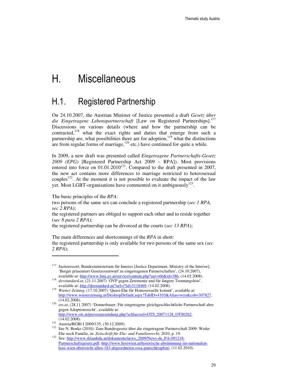## H. Miscellaneous

### H.1. Registered Partnership

On 24.10.2007, the Austrian Minister of Justice presented a draft *Gesetz über die Eingetragene Lebenspartnerschaft* [Law on Registered Partnerships].<sup>117</sup> Discussions on various details (where and how the partnership can be contracted,<sup>118</sup> what the exact rights and duties that emerge from such a partnership are, what possibilities there are for adoption, $119$  what the distinctions are from regular forms of marriage, $120$  etc.) have continued for quite a while.

In 2009, a new draft was presented called *Eingetragene Partnerschafts-Gesetz 2009 (EPG)* [Registered Partnership Act 2009 – RPA]). Most provisions entered into force on  $01.01.2010^{121}$ . Compared to the draft presented in 2007, the new act contains more differences to marriage restricted to heterosexual couples<sup>122</sup>. At the moment it is not possible to evaluate the impact of the law yet. Most LGBT-organisations have commented on it ambiguously<sup>123</sup>.

The basic principles of the *RPA*: two persons of the same sex can conclude a registered partnership (*sec 1 RPA, sec 2 RPA*); the registered partners are obliged to support each other and to reside together (s*ec 8 para 2 RPA*); the registered partnership can be divorced at the courts (*sec 13 RPA*);

The main differences and shortcomings of the *RPA* in short: the registered partnership is only available for two persons of the same sex (*sec 2 RPA*);

<sup>&</sup>lt;sup>117</sup> Justizressort, Bundesministerium für Inneres [Justice Department, Ministry of the Interior], 'Berger präsentiert Gesetzesentwurf zu eingetragenen Partnerschaften', (24.10.2007), available at: http://www.bmj.gv.at/service/content.php?nav=66&id=386, (14.02.2008).

<sup>118</sup> *derstandard.at*, (21.11.2007) 'ÖVP gegen Zeremonie und für längere Trennungsfrist', available at: http://derstandard.at/?url=/?id=3118469, (14.02.2008).

<sup>119</sup> *Wiener Zeitung*, (17.10.2007) 'Quasi-Ehe für Homosexuelle kommt', available at: http://www.wienerzeitung.at/DesktopDefault.aspx?TabID=4103&Alias=wzo&cob=307827, (14.02.2008).

<sup>120</sup> *ots.at*, (28.11.2007) 'Donnerbauer: Für eingetragene gleichgeschlechtliche Partnerschaft aber gegen Adoptionsrecht', available at: http://www.ots.at/presseaussendung.php?schluessel=OTS\_20071128\_OTS0262,

<sup>(14.02.2008).</sup> 

<sup>121</sup> Austria/BGBl I 2009/135, (30.12.2009).

<sup>122</sup> See N. Benke (2010): Zum Bundesgesetz über die eingetragene Partnerschaft 2009: Weder Ehe noch Familie, in: *Zeitschrift für Ehe- und Familienrecht*, 2010, p. 19.

<sup>123</sup> See: http://www.rklambda.at/dokumente/news\_2009/News-de\_PA-091218- Partnerschaftsgesetz.pdf; http://www.hosiwien.at/historische-abstimmung-im-nationalrathosi-wien-uberreicht-allen-183-abgeordneten-rosa-punschkrapfen/, (11.02.2010).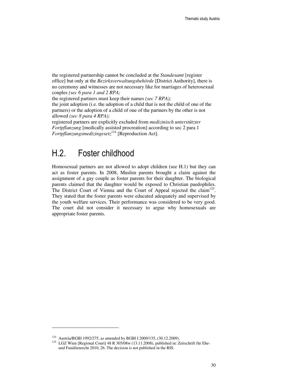the registered partnership cannot be concluded at the *Standesamt* [register office] but only at the *Bezirksverwaltungsbehörde* [District Authority], there is no ceremony and witnesses are not necessary like for marriages of heterosexual couples *(sec 6 para 1 and 2 RPA;* 

the registered partners must keep their names *(sec 7 RPA);* 

the joint adoption (i.e. the adoption of a child that is not the child of one of the partners) or the adoption of a child of one of the partners by the other is not allowed *(sec 8 para 4 RPA);* 

registered partners are explicitly excluded from *medizinisch unterstützter Fortpflanzung* [medically assisted procreation] according to sec 2 para 1 *Fortpflanzungsmedizingesetz*<sup>124</sup> [Reproduction Act].

## H.2. Foster childhood

Homosexual partners are not allowed to adopt children (see H.1) but they can act as foster parents. In 2008, Muslim parents brought a claim against the assignment of a gay couple as foster parents for their daughter. The biological parents claimed that the daughter would be exposed to Christian paedophiles. The District Court of Vienna and the Court of Appeal rejected the claim<sup>125</sup>. They stated that the foster parents were educated adequately and supervised by the youth welfare services. Their performance was considered to be very good. The court did not consider it necessary to argue why homosexuals are appropriate foster parents.

<sup>124</sup> Austria/BGBl 1992/275, as amended by BGBl I 2009/135, (30.12.2009).

<sup>&</sup>lt;sup>125</sup> LGZ Wien [Regional Court] 48 R 305/08w (13.11.2008), published in: Zeitschrift für Eheund Familienrecht 2010, 26. The decision is not published in the RIS.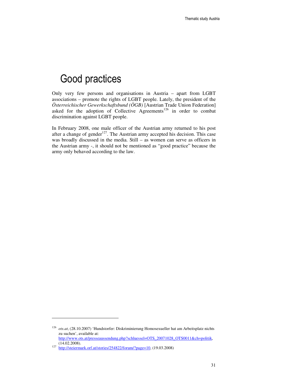## Good practices

Only very few persons and organisations in Austria – apart from LGBT associations – promote the rights of LGBT people. Lately, the president of the *Österreichischer Gewerkschaftsbund (ÖGB)* [Austrian Trade Union Federation] asked for the adoption of Collective Agreements<sup>126</sup> in order to combat discrimination against LGBT people.

In February 2008, one male officer of the Austrian army returned to his post after a change of gender<sup>127</sup>. The Austrian army accepted his decision. This case was broadly discussed in the media. Still – as women can serve as officers in the Austrian army -, it should not be mentioned as "good practice" because the army only behaved according to the law.

<sup>126</sup> *ots.at*, (28.10.2007) 'Hundstorfer: Diskriminierung Homosexueller hat am Arbeitsplatz nichts zu suchen', available at: http://www.ots.at/presseaussendung.php?schluessel=OTS\_20071028\_OTS0011&ch=politik,

<sup>(14.02.2008).&</sup>lt;br>
<sup>127</sup> http://steiermark.orf.at/stories/254822/forum/?page=10, (19.03.2008)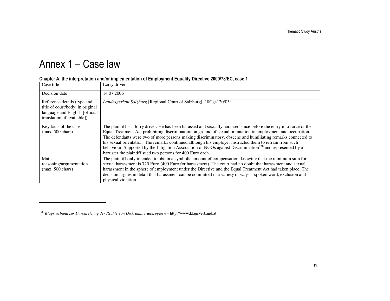# Annex 1 – Case law

| Case title                                                                                                                       | Lorry driver                                                                                                                                                                                                                                                                                                                                                                                                                                                                                                                                                                                                                                            |
|----------------------------------------------------------------------------------------------------------------------------------|---------------------------------------------------------------------------------------------------------------------------------------------------------------------------------------------------------------------------------------------------------------------------------------------------------------------------------------------------------------------------------------------------------------------------------------------------------------------------------------------------------------------------------------------------------------------------------------------------------------------------------------------------------|
| Decision date                                                                                                                    | 14.07.2006                                                                                                                                                                                                                                                                                                                                                                                                                                                                                                                                                                                                                                              |
| Reference details (type and<br>title of court/body; in original<br>language and English [official<br>translation, if available]) | Landesgericht Salzburg [Regional Court of Salzburg], 18Cga120/05t                                                                                                                                                                                                                                                                                                                                                                                                                                                                                                                                                                                       |
| Key facts of the case<br>$(max. 500 \text{ chars})$                                                                              | The plaintiff is a lorry driver. He has been harassed and sexually harassed since before the entry into force of the<br>Equal Treatment Act prohibiting discrimination on ground of sexual orientation in employment and occupation.<br>The defendants were two of more persons making discriminatory, obscene and humiliating remarks connected to<br>his sexual orientation. The remarks continued although his employer instructed them to refrain from such<br>behaviour. Supported by the Litigation Association of NGOs against Discrimination <sup>128</sup> and represented by a<br>barrister the plaintiff sued two persons for 400 Euro each. |
| Main<br>reasoning/argumentation<br>$(max. 500 \text{ chars})$                                                                    | The plaintiff only intended to obtain a symbolic amount of compensation, knowing that the minimum sum for<br>sexual harassment is 720 Euro (400 Euro for harassment). The court had no doubt that harassment and sexual<br>harassment in the sphere of employment under the Directive and the Equal Treatment Act had taken place. The<br>decision argues in detail that harassment can be committed in a variety of ways – spoken word, exclusion and<br>physical violation.                                                                                                                                                                           |

#### Chapter A, the interpretation and/or implementation of Employment Equality Directive 2000/78/EC, case 1

<sup>128</sup> *Klagsverband zur Durchsetzung der Rechte von Diskriminierungsopfern* – http://www.klagsverband.at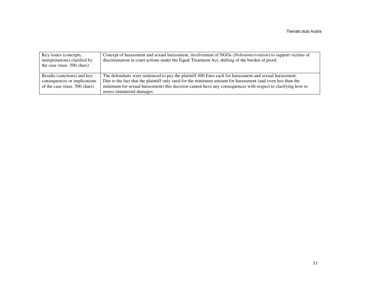| Key issues (concepts,<br>interpretations) clarified by<br>the case (max. $500$ chars)       | Concept of harassment and sexual harassment, involvement of NGOs ( <i>Nebenintervention</i> ) to support victims of<br>discrimination in court actions under the Equal Treatment Act, shifting of the burden of proof.                                                                                                                                            |
|---------------------------------------------------------------------------------------------|-------------------------------------------------------------------------------------------------------------------------------------------------------------------------------------------------------------------------------------------------------------------------------------------------------------------------------------------------------------------|
| Results (sanctions) and key<br>consequences or implications<br>of the case (max. 500 chars) | The defendants were sentenced to pay the plaintiff 400 Euro each for harassment and sexual harassment.<br>Due to the fact that the plaintiff only sued for the minimum amount for harassment (and even less than the<br>minimum for sexual harassment) this decision cannot have any consequences with respect to clarifying how to<br>assess immaterial damages. |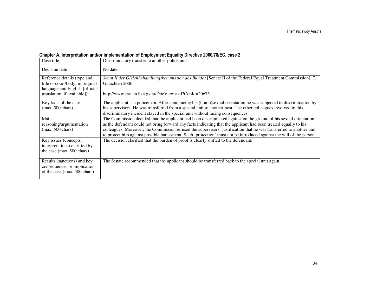### Chapter A, interpretation and/or implementation of Employment Equality Directive 2000/78/EC, case 2

| Case title                                                                                                                        | Discriminatory transfer to another police unit                                                                                                                                                                                                                                                                                                                                                                                                                                       |
|-----------------------------------------------------------------------------------------------------------------------------------|--------------------------------------------------------------------------------------------------------------------------------------------------------------------------------------------------------------------------------------------------------------------------------------------------------------------------------------------------------------------------------------------------------------------------------------------------------------------------------------|
| Decision date                                                                                                                     | No date                                                                                                                                                                                                                                                                                                                                                                                                                                                                              |
| Reference details (type and<br>title of court/body; in original<br>language and English [official]<br>translation, if available]) | Senat II der Gleichbehandlungskommission des Bundes [Senate II of the Federal Equal Treatment Commission], 7.<br>Gutachten 2006<br>http://www.frauen.bka.gv.at/DocView.axd?CobId=20675                                                                                                                                                                                                                                                                                               |
| Key facts of the case<br>$(max. 500 \text{ chars})$                                                                               | The applicant is a policeman. After announcing his (homo)sexual orientation he was subjected to discrimination by<br>his supervisors. He was transferred from a special unit to another post. The other colleagues involved in this<br>discriminatory incident stayed in the special unit without facing consequences.                                                                                                                                                               |
| Main<br>reasoning/argumentation<br>$(max. 500 \text{ chars})$                                                                     | The Commission decided that the applicant had been discriminated against on the ground of his sexual orientation,<br>as the defendant could not bring forward any facts indicating that the applicant had been treated equally to his<br>colleagues. Moreover, the Commission refused the supervisors' justification that he was transferred to another unit<br>to protect him against possible harassment. Such 'protection' must not be introduced against the will of the person. |
| Key issues (concepts,<br>interpretations) clarified by<br>the case (max. 500 chars)                                               | The decision clarified that the burden of proof is clearly shifted to the defendant.                                                                                                                                                                                                                                                                                                                                                                                                 |
| Results (sanctions) and key<br>consequences or implications<br>of the case (max. 500 chars)                                       | The Senate recommended that the applicant should be transferred back to the special unit again.                                                                                                                                                                                                                                                                                                                                                                                      |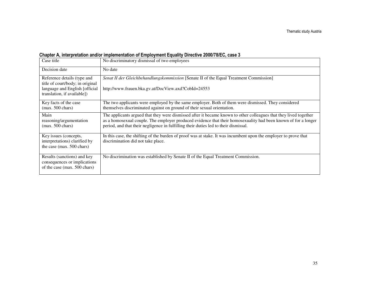### Chapter A, interpretation and/or implementation of Employment Equality Directive 2000/78/EC, case 3

| Case title                                                                                                                       | No discriminatory dismissal of two employees                                                                                                                                                                                                                                                                                |
|----------------------------------------------------------------------------------------------------------------------------------|-----------------------------------------------------------------------------------------------------------------------------------------------------------------------------------------------------------------------------------------------------------------------------------------------------------------------------|
| Decision date                                                                                                                    | No date                                                                                                                                                                                                                                                                                                                     |
| Reference details (type and<br>title of court/body; in original<br>language and English [official<br>translation, if available]) | Senat II der Gleichbehandlungskommission [Senate II of the Equal Treatment Commission]<br>http://www.frauen.bka.gv.at/DocView.axd?CobId=24553                                                                                                                                                                               |
| Key facts of the case<br>$(max. 500 \text{ chars})$                                                                              | The two applicants were employed by the same employer. Both of them were dismissed. They considered<br>themselves discriminated against on ground of their sexual orientation.                                                                                                                                              |
| Main<br>reasoning/argumentation<br>$(max. 500 \text{ chars})$                                                                    | The applicants argued that they were dismissed after it became known to other colleagues that they lived together<br>as a homosexual couple. The employer produced evidence that their homosexuality had been known of for a longer<br>period, and that their negligence in fulfilling their duties led to their dismissal. |
| Key issues (concepts,<br>interpretations) clarified by<br>the case (max. 500 chars)                                              | In this case, the shifting of the burden of proof was at stake. It was incumbent upon the employer to prove that<br>discrimination did not take place.                                                                                                                                                                      |
| Results (sanctions) and key<br>consequences or implications<br>of the case (max. 500 chars)                                      | No discrimination was established by Senate II of the Equal Treatment Commission.                                                                                                                                                                                                                                           |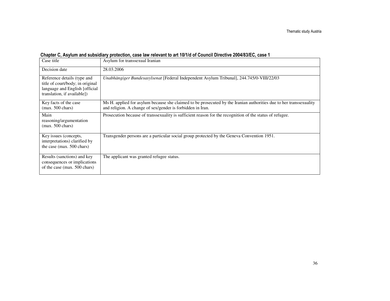| Chapter C, Asylum and subsidiary protection, case law relevant to art 10/1/d of Council Directive 2004/83/EC, case 1 |  |  |
|----------------------------------------------------------------------------------------------------------------------|--|--|
|----------------------------------------------------------------------------------------------------------------------|--|--|

| Case title                                                                                                                       | Asylum for transsexual Iranian                                                                                                                                                   |
|----------------------------------------------------------------------------------------------------------------------------------|----------------------------------------------------------------------------------------------------------------------------------------------------------------------------------|
| Decision date                                                                                                                    | 28.03.2006                                                                                                                                                                       |
| Reference details (type and<br>title of court/body; in original<br>language and English [official<br>translation, if available]) | Unabhängiger Bundesasylsenat [Federal Independent Asylum Tribunal], 244.745/0-VIII/22/03                                                                                         |
| Key facts of the case<br>$(max. 500 \text{ chars})$                                                                              | Ms H. applied for asylum because she claimed to be prosecuted by the Iranian authorities due to her transsexuality<br>and religion. A change of sex/gender is forbidden in Iran. |
| Main<br>reasoning/argumentation<br>$(max. 500 \text{ chars})$                                                                    | Prosecution because of transsexuality is sufficient reason for the recognition of the status of refugee.                                                                         |
| Key issues (concepts,<br>interpretations) clarified by<br>the case (max. 500 chars)                                              | Transgender persons are a particular social group protected by the Geneva Convention 1951.                                                                                       |
| Results (sanctions) and key<br>consequences or implications<br>of the case (max. 500 chars)                                      | The applicant was granted refugee status.                                                                                                                                        |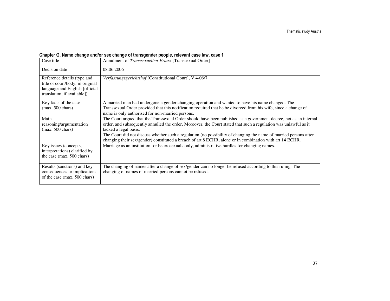| Case title                                                                                                                                                                                                                                                          | Annulment of Transsexuellen-Erlass [Transsexual Order]                                                            |
|---------------------------------------------------------------------------------------------------------------------------------------------------------------------------------------------------------------------------------------------------------------------|-------------------------------------------------------------------------------------------------------------------|
| Decision date                                                                                                                                                                                                                                                       | 08.06.2006                                                                                                        |
| Reference details (type and<br>title of court/body; in original<br>language and English [official<br>translation, if available])                                                                                                                                    | Verfassungsgerichtshof [Constitutional Court], V 4-06/7                                                           |
| Key facts of the case                                                                                                                                                                                                                                               | A married man had undergone a gender changing operation and wanted to have his name changed. The                  |
| $(max. 500 \text{ chars})$                                                                                                                                                                                                                                          | Transsexual Order provided that this notification required that he be divorced from his wife, since a change of   |
|                                                                                                                                                                                                                                                                     | name is only authorised for non-married persons.                                                                  |
| Main                                                                                                                                                                                                                                                                | The Court argued that the Transsexual Order should have been published as a government decree, not as an internal |
| reasoning/argumentation                                                                                                                                                                                                                                             | order, and subsequently annulled the order. Moreover, the Court stated that such a regulation was unlawful as it  |
| $(max. 500 \text{ chars})$                                                                                                                                                                                                                                          | lacked a legal basis.                                                                                             |
|                                                                                                                                                                                                                                                                     | The Court did not discuss whether such a regulation (no possibility of changing the name of married persons after |
|                                                                                                                                                                                                                                                                     | changing their sex/gender) constituted a breach of art 8 ECHR, alone or in combination with art 14 ECHR.          |
| Key issues (concepts,                                                                                                                                                                                                                                               | Marriage as an institution for heterosexuals only, administrative hurdles for changing names.                     |
| interpretations) clarified by                                                                                                                                                                                                                                       |                                                                                                                   |
| the case (max. 500 chars)                                                                                                                                                                                                                                           |                                                                                                                   |
|                                                                                                                                                                                                                                                                     |                                                                                                                   |
| Results (sanctions) and key<br>The changing of names after a change of sex/gender can no longer be refused according to this ruling. The<br>changing of names of married persons cannot be refused.<br>consequences or implications<br>of the case (max. 500 chars) |                                                                                                                   |
|                                                                                                                                                                                                                                                                     |                                                                                                                   |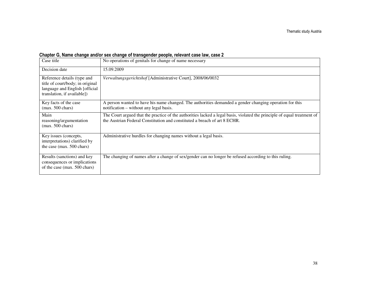| Case title                                                                                                                       | No operations of genitals for change of name necessary                                                                                                                                                |  |  |  |
|----------------------------------------------------------------------------------------------------------------------------------|-------------------------------------------------------------------------------------------------------------------------------------------------------------------------------------------------------|--|--|--|
| Decision date                                                                                                                    | 15.09.2009                                                                                                                                                                                            |  |  |  |
| Reference details (type and<br>title of court/body; in original<br>language and English [official<br>translation, if available]) | Verwaltungsgerichtshof [Administrative Court], 2008/06/0032                                                                                                                                           |  |  |  |
| Key facts of the case<br>$(max. 500 \text{ chars})$                                                                              | A person wanted to have his name changed. The authorities demanded a gender changing operation for this<br>notification – without any legal basis.                                                    |  |  |  |
| Main<br>reasoning/argumentation<br>$(max. 500 \text{ chars})$                                                                    | The Court argued that the practice of the authorities lacked a legal basis, violated the principle of equal treatment of<br>the Austrian Federal Constitution and constituted a breach of art 8 ECHR. |  |  |  |
| Key issues (concepts,<br>interpretations) clarified by<br>the case (max. 500 chars)                                              | Administrative hurdles for changing names without a legal basis.                                                                                                                                      |  |  |  |
| Results (sanctions) and key<br>consequences or implications<br>of the case (max. 500 chars)                                      | The changing of names after a change of sex/gender can no longer be refused according to this ruling.                                                                                                 |  |  |  |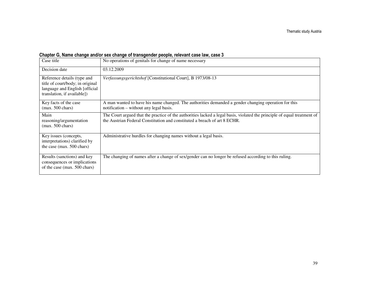| Case title                                                                                                                       | No operations of genitals for change of name necessary                                                                                                                                                |
|----------------------------------------------------------------------------------------------------------------------------------|-------------------------------------------------------------------------------------------------------------------------------------------------------------------------------------------------------|
| Decision date                                                                                                                    | 03.12.2009                                                                                                                                                                                            |
| Reference details (type and<br>title of court/body; in original<br>language and English [official<br>translation, if available]) | Verfassungsgerichtshof [Constitutional Court], B 1973/08-13                                                                                                                                           |
| Key facts of the case<br>$(max. 500 \text{ chars})$                                                                              | A man wanted to have his name changed. The authorities demanded a gender changing operation for this<br>notification – without any legal basis.                                                       |
| Main<br>reasoning/argumentation<br>$(max. 500 \text{ chars})$                                                                    | The Court argued that the practice of the authorities lacked a legal basis, violated the principle of equal treatment of<br>the Austrian Federal Constitution and constituted a breach of art 8 ECHR. |
| Key issues (concepts,<br>interpretations) clarified by<br>the case (max. 500 chars)                                              | Administrative hurdles for changing names without a legal basis.                                                                                                                                      |
| Results (sanctions) and key<br>consequences or implications<br>of the case (max. 500 chars)                                      | The changing of names after a change of sex/gender can no longer be refused according to this ruling.                                                                                                 |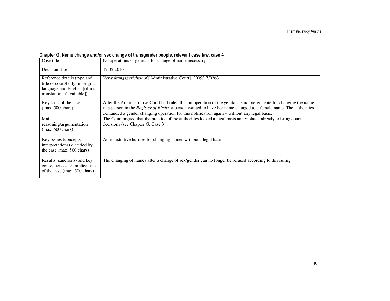| Case title                                                                                                                        | No operations of genitals for change of name necessary                                                                                                                                                                                                                                                                                          |  |  |  |
|-----------------------------------------------------------------------------------------------------------------------------------|-------------------------------------------------------------------------------------------------------------------------------------------------------------------------------------------------------------------------------------------------------------------------------------------------------------------------------------------------|--|--|--|
| Decision date                                                                                                                     | 17.02.2010                                                                                                                                                                                                                                                                                                                                      |  |  |  |
| Reference details (type and<br>title of court/body; in original<br>language and English [official]<br>translation, if available]) | Verwaltungsgerichtshof [Administrative Court], 2009/17/0263                                                                                                                                                                                                                                                                                     |  |  |  |
| Key facts of the case<br>$(max. 500 \text{ chars})$                                                                               | After the Administrative Court had ruled that an operation of the genitals is no prerequisite for changing the name<br>of a person in the <i>Register of Births</i> , a person wanted to have her name changed to a female name. The authorities<br>demanded a gender changing operation for this notification again – without any legal basis. |  |  |  |
| Main<br>reasoning/argumentation<br>$(max. 500 \text{ chars})$                                                                     | The Court argued that the practice of the authorities lacked a legal basis and violated already existing court<br>decisions (see Chapter G, Case 3).                                                                                                                                                                                            |  |  |  |
| Key issues (concepts,<br>interpretations) clarified by<br>the case (max. 500 chars)                                               | Administrative hurdles for changing names without a legal basis.                                                                                                                                                                                                                                                                                |  |  |  |
| Results (sanctions) and key<br>consequences or implications<br>of the case (max. 500 chars)                                       | The changing of names after a change of sex/gender can no longer be refused according to this ruling.                                                                                                                                                                                                                                           |  |  |  |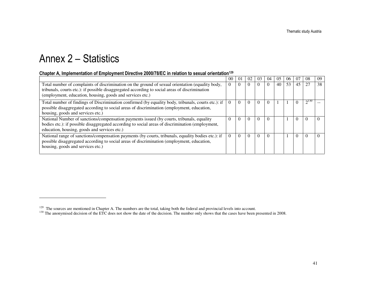# Annex 2 – Statistics

#### Chapter A, Implementation of Employment Directive 2000/78/EC in relation to sexual orientation<sup>129</sup>

|                                                                                                                                                                                                                                                                 | 00       | $\Omega$ | 02       | 03       | 04       | 0.5 | 06 | 07       | 08        | 09 |
|-----------------------------------------------------------------------------------------------------------------------------------------------------------------------------------------------------------------------------------------------------------------|----------|----------|----------|----------|----------|-----|----|----------|-----------|----|
| Total number of complaints of discrimination on the ground of sexual orientation (equality body,<br>tribunals, courts etc.): if possible disaggregated according to social areas of discrimination<br>(employment, education, housing, goods and services etc.) |          |          | 0        | $\Omega$ | $\Omega$ | 40  | 53 | 45       | 27        | 38 |
| Total number of findings of Discrimination confirmed (by equality body, tribunals, courts etc.): if<br>possible disaggregated according to social areas of discrimination (employment, education,<br>housing, goods and services etc.)                          |          | $\Omega$ | 0        | $\Omega$ | 0        |     |    |          | $2^{130}$ |    |
| National Number of sanctions/compensation payments issued (by courts, tribunals, equality<br>bodies etc.): if possible disaggregated according to social areas of discrimination (employment,<br>education, housing, goods and services etc.)                   | 0        |          | 0        | $\Omega$ | $\Omega$ |     |    | $\Omega$ |           |    |
| National range of sanctions/compensation payments (by courts, tribunals, equality bodies etc.): if<br>possible disaggregated according to social areas of discrimination (employment, education,<br>housing, goods and services etc.)                           | $\Omega$ |          | $\Omega$ | $\Omega$ | $\Omega$ |     |    | $\Omega$ |           |    |

 $^{129}$  The sources are mentioned in Chapter A. The numbers are the total, taking both the federal and provincial levels into account.<br><sup>130</sup> The anonymised decision of the ETC does not show the date of the decision. The n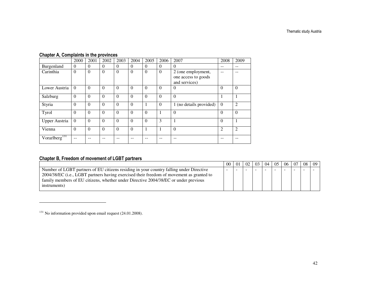### Chapter A, Complaints in the provinces

|                           | 2000     | 2001     | 2002     | 2003     | 2004     | 2005     | 2006           | 2007                    | 2008           | 2009           |
|---------------------------|----------|----------|----------|----------|----------|----------|----------------|-------------------------|----------------|----------------|
| Burgenland                | $\Omega$ | 0        | $\Omega$ | $\Omega$ | $\Omega$ | $\Omega$ | $\Omega$       | $\theta$                | --             | $- -$          |
| Carinthia                 | $\Omega$ | $\Omega$ | $\Omega$ | $\theta$ | $\Omega$ | $\theta$ | $\overline{0}$ | 2 (one employment,      |                |                |
|                           |          |          |          |          |          |          |                | one access to goods     |                |                |
|                           |          |          |          |          |          |          |                | and services)           |                |                |
| Lower Austria             | $\Omega$ | $\Omega$ | $\Omega$ | $\Omega$ | $\theta$ | $\Omega$ | $\Omega$       | $\overline{0}$          | $\Omega$       | $\overline{0}$ |
| Salzburg                  | $\Omega$ | $\Omega$ | $\Omega$ | $\theta$ | $\theta$ | $\Omega$ | $\Omega$       | $\theta$                |                |                |
| Styria                    | $\Omega$ | $\Omega$ | $\theta$ | $\Omega$ | $\Omega$ | 1        | $\Omega$       | 1 (no details provided) | $\mathbf{0}$   | $\overline{c}$ |
| Tyrol                     | $\Omega$ | $\Omega$ | $\Omega$ | $\theta$ | $\theta$ | $\Omega$ |                | $\Omega$                | $\Omega$       | $\Omega$       |
| <b>Upper Austria</b>      | $\theta$ | $\Omega$ | $\theta$ | $\Omega$ | $\theta$ | $\Omega$ | 3              | 1                       | $\Omega$       |                |
| Vienna                    | $\Omega$ | $\Omega$ | $\Omega$ | $\theta$ | $\theta$ |          | 1              | $\overline{0}$          | $\overline{2}$ | $\overline{2}$ |
| Vorarlberg <sup>131</sup> |          |          |          |          |          |          | --             | --                      |                | --             |

### Chapter B, Freedom of movement of LGBT partners

|                                                                                          | -00                      |  | $02 \ 03$ | 04 | 05 <sup>1</sup> | 06 <sup>1</sup> | 07 | 08 | 09 |
|------------------------------------------------------------------------------------------|--------------------------|--|-----------|----|-----------------|-----------------|----|----|----|
| Number of LGBT partners of EU citizens residing in your country falling under Directive  | $\overline{\phantom{a}}$ |  |           |    |                 |                 |    |    |    |
| 2004/38/EC (i.e., LGBT partners having exercised their freedom of movement as granted to |                          |  |           |    |                 |                 |    |    |    |
| family members of EU citizens, whether under Directive 2004/38/EC or under previous      |                          |  |           |    |                 |                 |    |    |    |
| instruments)                                                                             |                          |  |           |    |                 |                 |    |    |    |
|                                                                                          |                          |  |           |    |                 |                 |    |    |    |

<sup>&</sup>lt;sup>131</sup> No information provided upon email request (24.01.2008).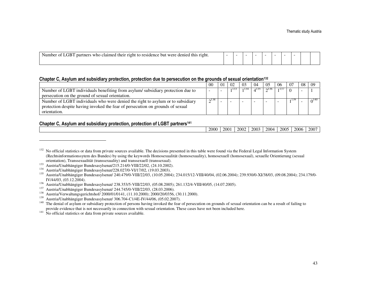#### Chapter C, Asylum and subsidiary protection, protection due to persecution on the grounds of sexual orientation<sup>132</sup>

|                                                                                 | 00         | 02  | 0 <sup>3</sup> | 04   | 05                 | -06 |     | 08 | 09                      |
|---------------------------------------------------------------------------------|------------|-----|----------------|------|--------------------|-----|-----|----|-------------------------|
| Number of LGBT individuals benefiting from asylum/subsidiary protection due to  | -          | 133 |                | 4135 | $\bigcap_{ }$ 1.50 | 137 |     |    |                         |
| persecution on the ground of sexual orientation.                                |            |     |                |      |                    |     |     |    |                         |
| Number of LGBT individuals who were denied the right to asylum or to subsidiary | $\sim$ 138 |     |                |      |                    |     | 139 |    | $\Omega$ <sup>140</sup> |
| protection despite having invoked the fear of persecution on grounds of sexual  |            |     |                |      |                    |     |     |    |                         |
| orientation.                                                                    |            |     |                |      |                    |     |     |    |                         |

#### Chapter C, Asylum and subsidiary protection, protection of LGBT partners<sup>141</sup>

| 2000<br>2002<br>2001<br>2006<br>$-200^\circ$<br>2005<br>2003<br>2004<br>--<br>__<br>___<br>and the control of the control of<br>.<br>. |  |  |  |  |  |
|----------------------------------------------------------------------------------------------------------------------------------------|--|--|--|--|--|
|                                                                                                                                        |  |  |  |  |  |

<sup>&</sup>lt;sup>132</sup> No official statistics or data from private sources available. The decisions presented in this table were found via the Federal Legal Information System (Rechtsinformationssytem des Bundes) by using the keywords Homosexualität (homosexuality), homosexuell (homosexual), sexuelle Orientierung (sexual orientation), Transsexualität (transsexuality) and transsexuell (transsexual).

<sup>&</sup>lt;sup>133</sup> Austria/Unabhängiger Bundesasylsenat/215.214/0-VIII/22/02, (24.10.2002).

<sup>134</sup> Austria/Unabhängiger Bundesasylsenat/228.027/0-VI/17/02, (19.03.2003).

<sup>135</sup> Austria/Unabhängiger Bundesasylsenat/ 240.479/0-VIII/22/03, (10.05.2004); 234.015/12-VIII/40/04, (02.06.2004); 239.930/0-XI/38/03, (09.08.2004); 234.179/0-IV/44/03, (03.12.2004).

<sup>136</sup> Austria/Unabhängiger Bundesasylsenat/ 238.353/5-VIII/22/03, (05.08.2005); 261.132/4-VIII/40/05, (14.07.2005).

<sup>&</sup>lt;sup>137</sup> Austria/Unabhängiger Bundesasylsenat/  $244.745/0~\mathrm{VIII}/22/03, (28.03.2006).$ <br><sup>138</sup> Austria/Verwaltungsgerichtshof/ 2000/01/0141 (11.10.2000): 2000/20/0356

<sup>&</sup>lt;sup>138</sup> Austria/Verwaltungsgerichtshof/ 2000/01/0141, (11.10.2000); 2000/20/0356, (30.11.2000).<br><sup>139</sup> Austria/Unabhängiger Bundesasylsenat/ 306.704-C1/4E-IV/44/06, (05.02.2007).

<sup>&</sup>lt;sup>140</sup> The denial of asylum or subsidiary protection of persons having invoked the fear of persecution on grounds of sexual orientation can be a result of failing to provide evidence that is not necessarily in connection with sexual orientation. These cases have not been included here.

<sup>&</sup>lt;sup>141</sup> No official statistics or data from private sources available.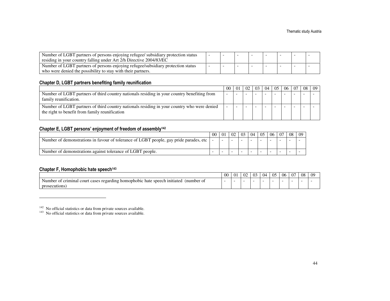| Number of LGBT partners of persons enjoying refugee/ subsidiary protection status |  |  |  |  |
|-----------------------------------------------------------------------------------|--|--|--|--|
| residing in your country falling under Art 2/h Directive 2004/83/EC               |  |  |  |  |
| Number of LGBT partners of persons enjoying refugee/subsidiary protection status  |  |  |  |  |
| who were denied the possibility to stay with their partners.                      |  |  |  |  |

#### Chapter D, LGBT partners benefiting family reunification

|                                                                                                                                               | 00 | $\pm 01$ | $02 \mid 03$ | 04 | 0.5 | -06 | 07 | 08 | 09 |
|-----------------------------------------------------------------------------------------------------------------------------------------------|----|----------|--------------|----|-----|-----|----|----|----|
| Number of LGBT partners of third country nationals residing in your country benefiting from<br>family reunification.                          | -  |          |              |    |     |     |    |    |    |
| Number of LGBT partners of third country nationals residing in your country who were denied<br>the right to benefit from family reunification |    |          |              |    |     |     |    |    |    |

#### Chapter E, LGBT persons' enjoyment of freedom of assembly<sup>142</sup>

|                                                                                        | 00 | 01 | 02 | 03 | 04 | 05 | 06 | -07 | 08 | 09 |
|----------------------------------------------------------------------------------------|----|----|----|----|----|----|----|-----|----|----|
| Number of demonstrations in favour of tolerance of LGBT people, gay pride parades, etc |    |    |    |    |    |    |    |     |    |    |
| Number of demonstrations against tolerance of LGBT people.                             |    |    |    |    |    |    |    | -   |    |    |

#### Chapter F, Homophobic hate speech<sup>143</sup>

|                                                                                                                             | $\Omega$<br>vv | $\sim$<br><u>vi</u> | $\sim$<br>UZ | 03 | 04 | 05 | 06 | 07 | 08 | -09 |
|-----------------------------------------------------------------------------------------------------------------------------|----------------|---------------------|--------------|----|----|----|----|----|----|-----|
| t cases regarding<br>hate speech initiated<br>(number of<br>criminal.<br>cour<br>nomophobic<br>Number<br>01<br>prosecutions |                |                     |              |    |    |    |    |    |    |     |

 $14^{14}$  No official statistics or data from private sources available.<br><sup>143</sup> No official statistics or data from private sources available.